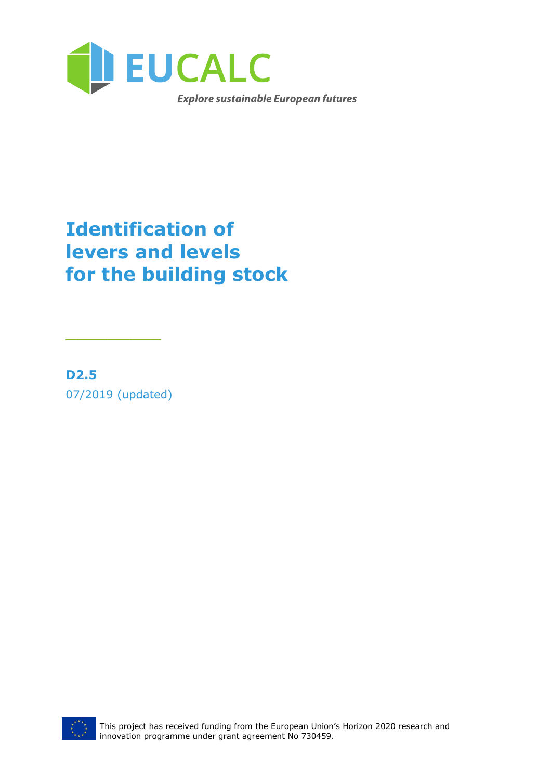

# **Identification of levers and levels for the building stock**

**D2.5** 07/2019 (updated)

\_\_\_\_\_\_\_\_\_

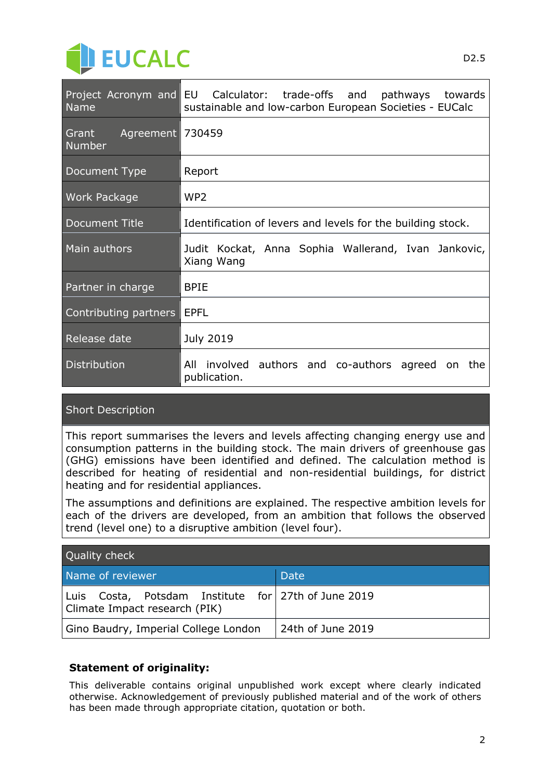

| <b>Name</b>                                | Project Acronym and EU Calculator: trade-offs and pathways towards<br>sustainable and low-carbon European Societies - EUCalc |
|--------------------------------------------|------------------------------------------------------------------------------------------------------------------------------|
| Agreement 730459<br>Grant<br><b>Number</b> |                                                                                                                              |
| Document Type                              | Report                                                                                                                       |
| Work Package                               | WP <sub>2</sub>                                                                                                              |
| <b>Document Title</b>                      | Identification of levers and levels for the building stock.                                                                  |
| Main authors                               | Judit Kockat, Anna Sophia Wallerand, Ivan Jankovic,<br>Xiang Wang                                                            |
| Partner in charge                          | <b>BPIE</b>                                                                                                                  |
| Contributing partners                      | <b>FPFI</b>                                                                                                                  |
| Release date                               | <b>July 2019</b>                                                                                                             |
| <b>Distribution</b>                        | All involved authors and co-authors agreed on<br>the<br>publication.                                                         |

#### Short Description

This report summarises the levers and levels affecting changing energy use and consumption patterns in the building stock. The main drivers of greenhouse gas (GHG) emissions have been identified and defined. The calculation method is described for heating of residential and non-residential buildings, for district heating and for residential appliances.

The assumptions and definitions are explained. The respective ambition levels for each of the drivers are developed, from an ambition that follows the observed trend (level one) to a disruptive ambition (level four).

| Quality check                                                                        |                   |  |  |
|--------------------------------------------------------------------------------------|-------------------|--|--|
| Name of reviewer                                                                     | Date              |  |  |
| Luis Costa, Potsdam Institute for 27th of June 2019<br>Climate Impact research (PIK) |                   |  |  |
| Gino Baudry, Imperial College London                                                 | 24th of June 2019 |  |  |

#### **Statement of originality:**

This deliverable contains original unpublished work except where clearly indicated otherwise. Acknowledgement of previously published material and of the work of others has been made through appropriate citation, quotation or both.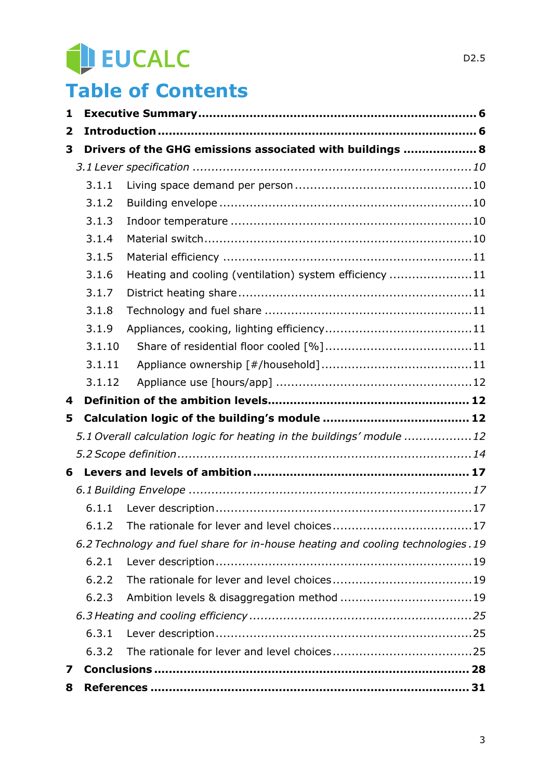# EUCALC

# **Table of Contents**

| 1                       |        |                                                                                 |  |
|-------------------------|--------|---------------------------------------------------------------------------------|--|
| $\overline{\mathbf{2}}$ |        |                                                                                 |  |
| 3                       |        | Drivers of the GHG emissions associated with buildings  8                       |  |
|                         |        |                                                                                 |  |
|                         | 3.1.1  |                                                                                 |  |
|                         | 3.1.2  |                                                                                 |  |
|                         | 3.1.3  |                                                                                 |  |
|                         | 3.1.4  |                                                                                 |  |
|                         | 3.1.5  |                                                                                 |  |
|                         | 3.1.6  | Heating and cooling (ventilation) system efficiency 11                          |  |
|                         | 3.1.7  |                                                                                 |  |
|                         | 3.1.8  |                                                                                 |  |
|                         | 3.1.9  |                                                                                 |  |
|                         | 3.1.10 |                                                                                 |  |
|                         | 3.1.11 |                                                                                 |  |
|                         | 3.1.12 |                                                                                 |  |
| 4                       |        |                                                                                 |  |
| 5                       |        |                                                                                 |  |
|                         |        | 5.1 Overall calculation logic for heating in the buildings' module 12           |  |
|                         |        |                                                                                 |  |
| 6                       |        |                                                                                 |  |
|                         |        |                                                                                 |  |
|                         | 6.1.1  |                                                                                 |  |
|                         | 6.1.2  |                                                                                 |  |
|                         |        | 6.2 Technology and fuel share for in-house heating and cooling technologies. 19 |  |
|                         | 6.2.1  |                                                                                 |  |
|                         | 6.2.2  |                                                                                 |  |
|                         | 6.2.3  |                                                                                 |  |
|                         |        |                                                                                 |  |
|                         | 6.3.1  |                                                                                 |  |
|                         | 6.3.2  |                                                                                 |  |
| 7                       |        |                                                                                 |  |
| 8                       |        |                                                                                 |  |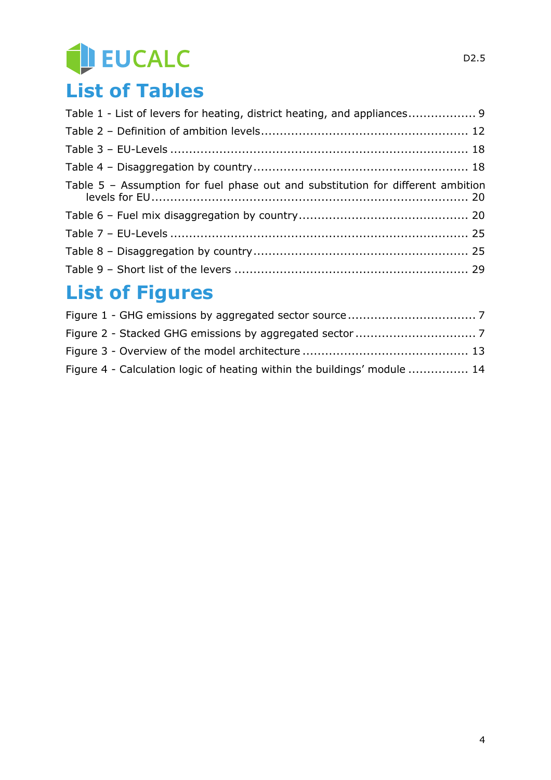# EUCALC

# **List of Tables**

| Table 1 - List of levers for heating, district heating, and appliances          |  |
|---------------------------------------------------------------------------------|--|
|                                                                                 |  |
|                                                                                 |  |
|                                                                                 |  |
| Table 5 - Assumption for fuel phase out and substitution for different ambition |  |
|                                                                                 |  |
|                                                                                 |  |
|                                                                                 |  |
|                                                                                 |  |

# **List of Figures**

| Figure 4 - Calculation logic of heating within the buildings' module  14 |  |
|--------------------------------------------------------------------------|--|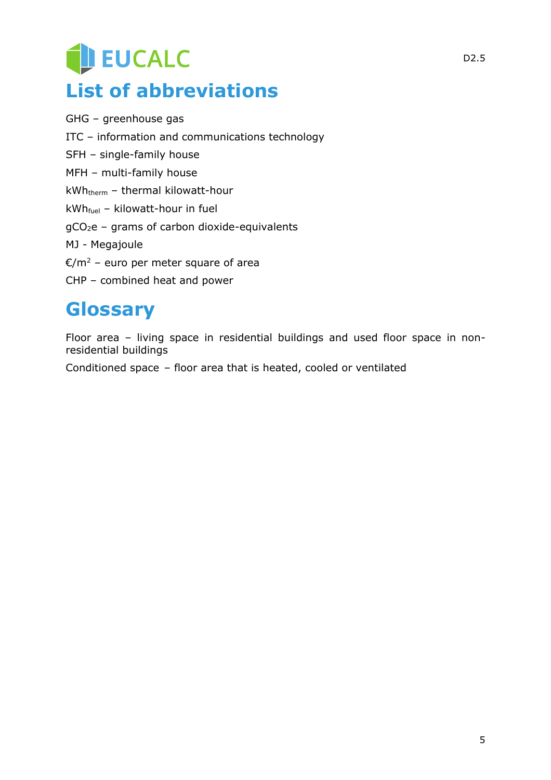# EUCALC **List of abbreviations**

GHG – greenhouse gas ITC – information and communications technology SFH – single-family house MFH – multi-family house kWh<sub>therm</sub> - thermal kilowatt-hour  $kWh_{fuel}$  – kilowatt-hour in fuel  $gCO<sub>2</sub>e$  – grams of carbon dioxide-equivalents MJ - Megajoule  $\epsilon/m^2$  – euro per meter square of area CHP – combined heat and power

# **Glossary**

Floor area – living space in residential buildings and used floor space in nonresidential buildings

Conditioned space – floor area that is heated, cooled or ventilated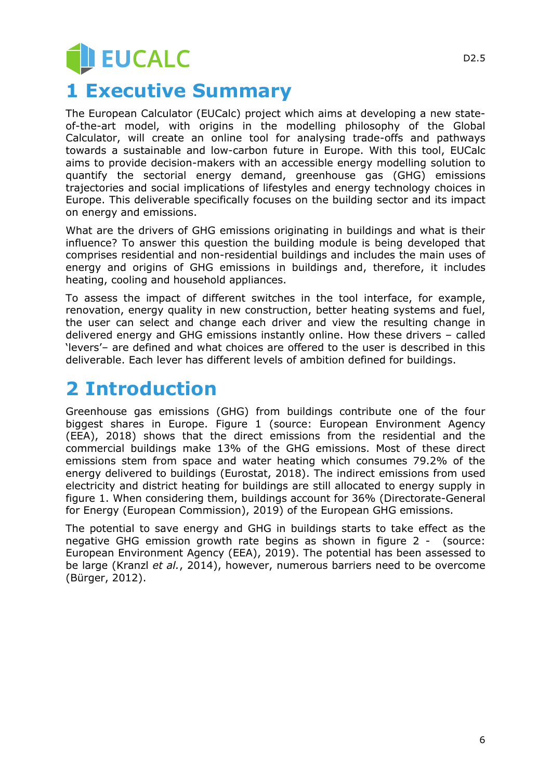# **DEUCALC 1 Executive Summary**

The European Calculator (EUCalc) project which aims at developing a new stateof-the-art model, with origins in the modelling philosophy of the Global Calculator, will create an online tool for analysing trade-offs and pathways towards a sustainable and low-carbon future in Europe. With this tool, EUCalc aims to provide decision-makers with an accessible energy modelling solution to quantify the sectorial energy demand, greenhouse gas (GHG) emissions trajectories and social implications of lifestyles and energy technology choices in Europe. This deliverable specifically focuses on the building sector and its impact on energy and emissions.

What are the drivers of GHG emissions originating in buildings and what is their influence? To answer this question the building module is being developed that comprises residential and non-residential buildings and includes the main uses of energy and origins of GHG emissions in buildings and, therefore, it includes heating, cooling and household appliances.

To assess the impact of different switches in the tool interface, for example, renovation, energy quality in new construction, better heating systems and fuel, the user can select and change each driver and view the resulting change in delivered energy and GHG emissions instantly online. How these drivers – called 'levers'– are defined and what choices are offered to the user is described in this deliverable. Each lever has different levels of ambition defined for buildings.

# **2 Introduction**

Greenhouse gas emissions (GHG) from buildings contribute one of the four biggest shares in Europe. [Figure 1](#page-6-0) (source: European Environment Agency (EEA), 2018) shows that the direct emissions from the residential and the commercial buildings make 13% of the GHG emissions. Most of these direct emissions stem from space and water heating which consumes 79.2% of the energy delivered to buildings (Eurostat, 2018). The indirect emissions from used electricity and district heating for buildings are still allocated to energy supply in [figure 1.](#page-6-0) When considering them, buildings account for 36% (Directorate-General for Energy (European Commission), 2019) of the European GHG emissions.

The potential to save energy and GHG in buildings starts to take effect as the negative GHG emission growth rate begins as shown in [figure 2](#page-6-1) - (source: European Environment Agency (EEA), 2019). The potential has been assessed to be large (Kranzl *et al.*, 2014), however, numerous barriers need to be overcome (Bürger, 2012).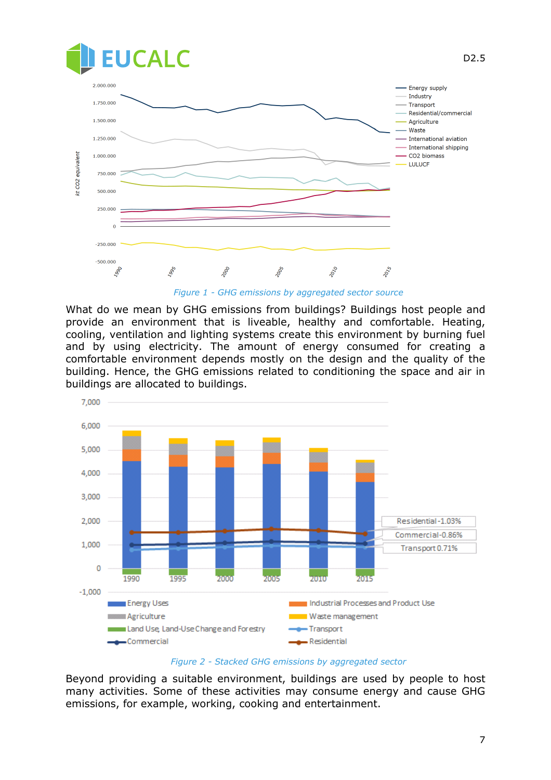



*Figure 1 - GHG emissions by aggregated sector source*

<span id="page-6-0"></span>What do we mean by GHG emissions from buildings? Buildings host people and provide an environment that is liveable, healthy and comfortable. Heating, cooling, ventilation and lighting systems create this environment by burning fuel and by using electricity. The amount of energy consumed for creating a comfortable environment depends mostly on the design and the quality of the building. Hence, the GHG emissions related to conditioning the space and air in buildings are allocated to buildings.



*Figure 2 - Stacked GHG emissions by aggregated sector*

<span id="page-6-1"></span>Beyond providing a suitable environment, buildings are used by people to host many activities. Some of these activities may consume energy and cause GHG emissions, for example, working, cooking and entertainment.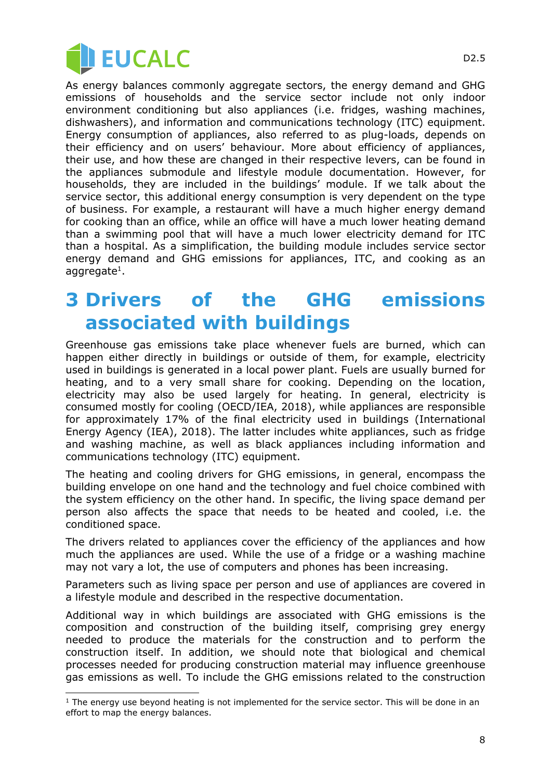

As energy balances commonly aggregate sectors, the energy demand and GHG emissions of households and the service sector include not only indoor environment conditioning but also appliances (i.e. fridges, washing machines, dishwashers), and information and communications technology (ITC) equipment. Energy consumption of appliances, also referred to as plug-loads, depends on their efficiency and on users' behaviour. More about efficiency of appliances, their use, and how these are changed in their respective levers, can be found in the appliances submodule and lifestyle module documentation. However, for households, they are included in the buildings' module. If we talk about the service sector, this additional energy consumption is very dependent on the type of business. For example, a restaurant will have a much higher energy demand for cooking than an office, while an office will have a much lower heating demand than a swimming pool that will have a much lower electricity demand for ITC than a hospital. As a simplification, the building module includes service sector energy demand and GHG emissions for appliances, ITC, and cooking as an aggregate<sup>1</sup>.

# **3 Drivers of the GHG emissions associated with buildings**

Greenhouse gas emissions take place whenever fuels are burned, which can happen either directly in buildings or outside of them, for example, electricity used in buildings is generated in a local power plant. Fuels are usually burned for heating, and to a very small share for cooking. Depending on the location, electricity may also be used largely for heating. In general, electricity is consumed mostly for cooling (OECD/IEA, 2018), while appliances are responsible for approximately 17% of the final electricity used in buildings (International Energy Agency (IEA), 2018). The latter includes white appliances, such as fridge and washing machine, as well as black appliances including information and communications technology (ITC) equipment.

The heating and cooling drivers for GHG emissions, in general, encompass the building envelope on one hand and the technology and fuel choice combined with the system efficiency on the other hand. In specific, the living space demand per person also affects the space that needs to be heated and cooled, i.e. the conditioned space.

The drivers related to appliances cover the efficiency of the appliances and how much the appliances are used. While the use of a fridge or a washing machine may not vary a lot, the use of computers and phones has been increasing.

Parameters such as living space per person and use of appliances are covered in a lifestyle module and described in the respective documentation.

Additional way in which buildings are associated with GHG emissions is the composition and construction of the building itself, comprising grey energy needed to produce the materials for the construction and to perform the construction itself. In addition, we should note that biological and chemical processes needed for producing construction material may influence greenhouse gas emissions as well. To include the GHG emissions related to the construction

 $<sup>1</sup>$  The energy use beyond heating is not implemented for the service sector. This will be done in an</sup> effort to map the energy balances.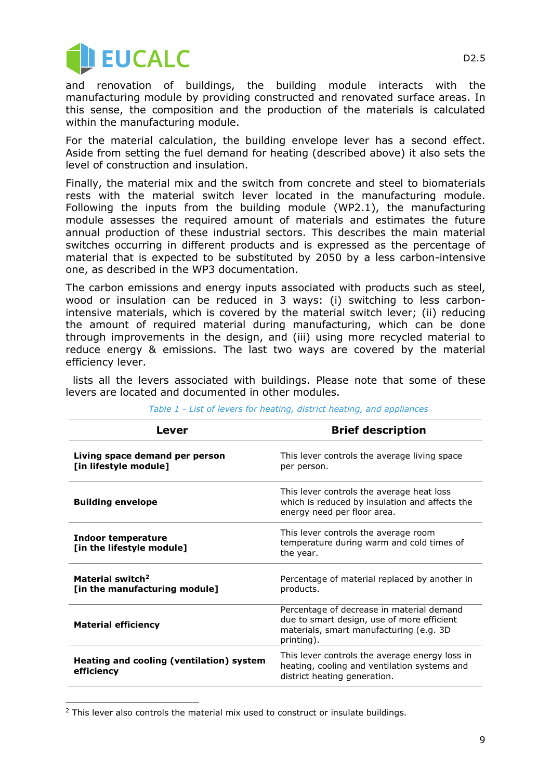

and renovation of buildings, the building module interacts with the manufacturing module by providing constructed and renovated surface areas. In this sense, the composition and the production of the materials is calculated within the manufacturing module.

For the material calculation, the building envelope lever has a second effect. Aside from setting the fuel demand for heating (described above) it also sets the level of construction and insulation.

Finally, the material mix and the switch from concrete and steel to biomaterials rests with the material switch lever located in the manufacturing module. Following the inputs from the building module (WP2.1), the manufacturing module assesses the required amount of materials and estimates the future annual production of these industrial sectors. This describes the main material switches occurring in different products and is expressed as the percentage of material that is expected to be substituted by 2050 by a less carbon-intensive one, as described in the WP3 documentation.

The carbon emissions and energy inputs associated with products such as steel, wood or insulation can be reduced in 3 ways: (i) switching to less carbonintensive materials, which is covered by the material switch lever; (ii) reducing the amount of required material during manufacturing, which can be done through improvements in the design, and (iii) using more recycled material to reduce energy & emissions. The last two ways are covered by the material efficiency lever.

<span id="page-8-0"></span>lists all the levers associated with buildings. Please note that some of these levers are located and documented in other modules.

| Lever                                                         | <b>Brief description</b>                                                                                                                         |  |  |
|---------------------------------------------------------------|--------------------------------------------------------------------------------------------------------------------------------------------------|--|--|
| Living space demand per person<br>[in lifestyle module]       | This lever controls the average living space<br>per person.                                                                                      |  |  |
| <b>Building envelope</b>                                      | This lever controls the average heat loss<br>which is reduced by insulation and affects the<br>energy need per floor area.                       |  |  |
| Indoor temperature<br>[in the lifestyle module]               | This lever controls the average room<br>temperature during warm and cold times of<br>the year.                                                   |  |  |
| Material switch <sup>2</sup><br>[in the manufacturing module] | Percentage of material replaced by another in<br>products.                                                                                       |  |  |
| <b>Material efficiency</b>                                    | Percentage of decrease in material demand<br>due to smart design, use of more efficient<br>materials, smart manufacturing (e.g. 3D<br>printing). |  |  |
| Heating and cooling (ventilation) system<br>efficiency        | This lever controls the average energy loss in<br>heating, cooling and ventilation systems and<br>district heating generation.                   |  |  |

*Table 1 - List of levers for heating, district heating, and appliances*

<sup>&</sup>lt;sup>2</sup> This lever also controls the material mix used to construct or insulate buildings.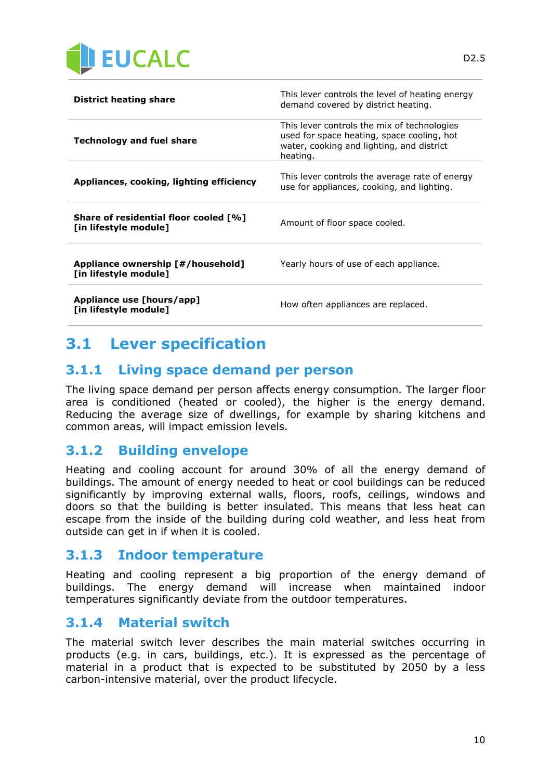

| <b>District heating share</b>                                  | This lever controls the level of heating energy<br>demand covered by district heating.                                                             |  |  |
|----------------------------------------------------------------|----------------------------------------------------------------------------------------------------------------------------------------------------|--|--|
| <b>Technology and fuel share</b>                               | This lever controls the mix of technologies<br>used for space heating, space cooling, hot<br>water, cooking and lighting, and district<br>heating. |  |  |
| Appliances, cooking, lighting efficiency                       | This lever controls the average rate of energy<br>use for appliances, cooking, and lighting.                                                       |  |  |
| Share of residential floor cooled [%]<br>[in lifestyle module] | Amount of floor space cooled.                                                                                                                      |  |  |
| Appliance ownership [#/household]<br>[in lifestyle module]     | Yearly hours of use of each appliance.                                                                                                             |  |  |
| Appliance use [hours/app]<br>[in lifestyle module]             | How often appliances are replaced.                                                                                                                 |  |  |

# **3.1 Lever specification**

### **3.1.1 Living space demand per person**

The living space demand per person affects energy consumption. The larger floor area is conditioned (heated or cooled), the higher is the energy demand. Reducing the average size of dwellings, for example by sharing kitchens and common areas, will impact emission levels.

## **3.1.2 Building envelope**

Heating and cooling account for around 30% of all the energy demand of buildings. The amount of energy needed to heat or cool buildings can be reduced significantly by improving external walls, floors, roofs, ceilings, windows and doors so that the building is better insulated. This means that less heat can escape from the inside of the building during cold weather, and less heat from outside can get in if when it is cooled.

### **3.1.3 Indoor temperature**

Heating and cooling represent a big proportion of the energy demand of buildings. The energy demand will increase when maintained indoor temperatures significantly deviate from the outdoor temperatures.

### **3.1.4 Material switch**

The material switch lever describes the main material switches occurring in products (e.g. in cars, buildings, etc.). It is expressed as the percentage of material in a product that is expected to be substituted by 2050 by a less carbon-intensive material, over the product lifecycle.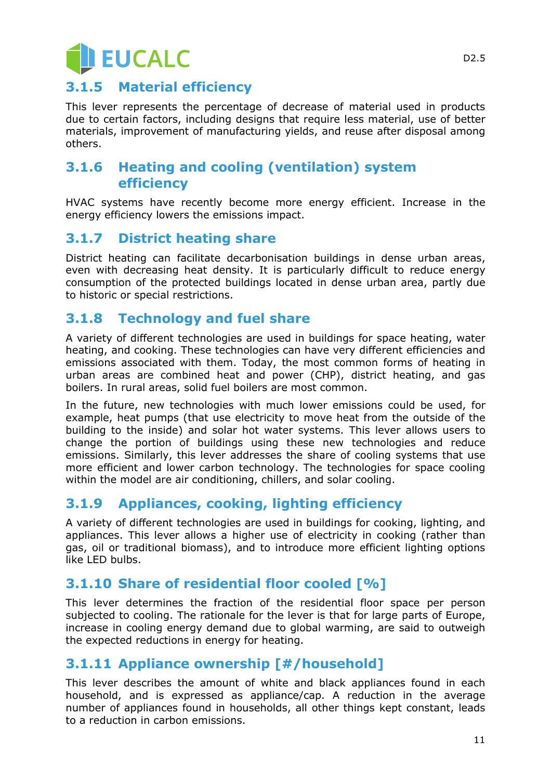# **BEUCALC**

## **3.1.5 Material efficiency**

This lever represents the percentage of decrease of material used in products due to certain factors, including designs that require less material, use of better materials, improvement of manufacturing yields, and reuse after disposal among others.

### **3.1.6 Heating and cooling (ventilation) system efficiency**

HVAC systems have recently become more energy efficient. Increase in the energy efficiency lowers the emissions impact.

### **3.1.7 District heating share**

District heating can facilitate decarbonisation buildings in dense urban areas, even with decreasing heat density. It is particularly difficult to reduce energy consumption of the protected buildings located in dense urban area, partly due to historic or special restrictions.

### **3.1.8 Technology and fuel share**

A variety of different technologies are used in buildings for space heating, water heating, and cooking. These technologies can have very different efficiencies and emissions associated with them. Today, the most common forms of heating in urban areas are combined heat and power (CHP), district heating, and gas boilers. In rural areas, solid fuel boilers are most common.

In the future, new technologies with much lower emissions could be used, for example, heat pumps (that use electricity to move heat from the outside of the building to the inside) and solar hot water systems. This lever allows users to change the portion of buildings using these new technologies and reduce emissions. Similarly, this lever addresses the share of cooling systems that use more efficient and lower carbon technology. The technologies for space cooling within the model are air conditioning, chillers, and solar cooling.

## **3.1.9 Appliances, cooking, lighting efficiency**

A variety of different technologies are used in buildings for cooking, lighting, and appliances. This lever allows a higher use of electricity in cooking (rather than gas, oil or traditional biomass), and to introduce more efficient lighting options like LED bulbs.

## **3.1.10 Share of residential floor cooled [%]**

This lever determines the fraction of the residential floor space per person subjected to cooling. The rationale for the lever is that for large parts of Europe, increase in cooling energy demand due to global warming, are said to outweigh the expected reductions in energy for heating.

### **3.1.11 Appliance ownership [#/household]**

This lever describes the amount of white and black appliances found in each household, and is expressed as appliance/cap. A reduction in the average number of appliances found in households, all other things kept constant, leads to a reduction in carbon emissions.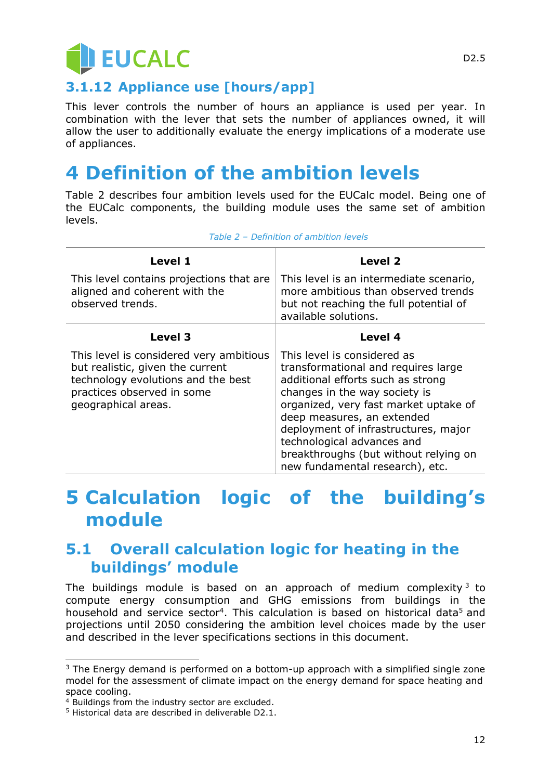# **DEUCALC**

## **3.1.12 Appliance use [hours/app]**

This lever controls the number of hours an appliance is used per year. In combination with the lever that sets the number of appliances owned, it will allow the user to additionally evaluate the energy implications of a moderate use of appliances.

# **4 Definition of the ambition levels**

[Table 2](#page-11-0) describes four ambition levels used for the EUCalc model. Being one of the EUCalc components, the building module uses the same set of ambition levels.

<span id="page-11-0"></span>

| Level 1<br>This level contains projections that are<br>aligned and coherent with the<br>observed trends.                                                                          | <b>Level 2</b><br>This level is an intermediate scenario,<br>more ambitious than observed trends<br>but not reaching the full potential of<br>available solutions.                                                                                                                                                                        |  |  |
|-----------------------------------------------------------------------------------------------------------------------------------------------------------------------------------|-------------------------------------------------------------------------------------------------------------------------------------------------------------------------------------------------------------------------------------------------------------------------------------------------------------------------------------------|--|--|
| Level 3<br>This level is considered very ambitious<br>but realistic, given the current<br>technology evolutions and the best<br>practices observed in some<br>geographical areas. | Level 4<br>This level is considered as<br>transformational and requires large<br>additional efforts such as strong<br>changes in the way society is<br>organized, very fast market uptake of<br>deep measures, an extended<br>deployment of infrastructures, major<br>technological advances and<br>breakthroughs (but without relying on |  |  |

*Table 2 – Definition of ambition levels*

# **5 Calculation logic of the building's module**

# **5.1 Overall calculation logic for heating in the buildings' module**

The buildings module is based on an approach of medium complexity  $3$  to compute energy consumption and GHG emissions from buildings in the household and service sector<sup>4</sup>. This calculation is based on historical data<sup>5</sup> and projections until 2050 considering the ambition level choices made by the user and described in the lever specifications sections in this document.

 $3$  The Energy demand is performed on a bottom-up approach with a simplified single zone model for the assessment of climate impact on the energy demand for space heating and space cooling.

<sup>4</sup> Buildings from the industry sector are excluded.

<sup>5</sup> Historical data are described in deliverable D2.1.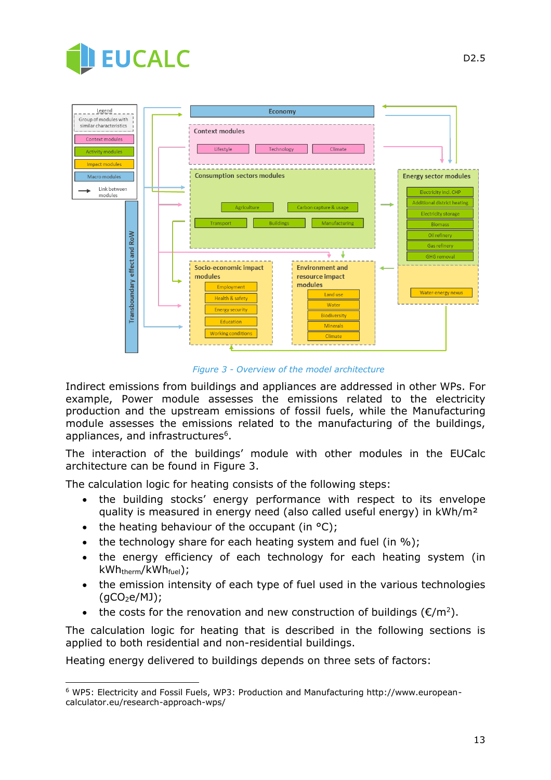



*Figure 3 - Overview of the model architecture*

Indirect emissions from buildings and appliances are addressed in other WPs. For example, Power module assesses the emissions related to the electricity production and the upstream emissions of fossil fuels, while the Manufacturing module assesses the emissions related to the manufacturing of the buildings, appliances, and infrastructures<sup>6</sup>.

The interaction of the buildings' module with other modules in the EUCalc architecture can be found in Figure 3.

The calculation logic for heating consists of the following steps:

- the building stocks' energy performance with respect to its envelope quality is measured in energy need (also called useful energy) in kWh/m²
- the heating behaviour of the occupant (in  $\circ$ C);
- the technology share for each heating system and fuel (in %);
- the energy efficiency of each technology for each heating system (in kWh<sub>therm</sub>/kWh<sub>fuel</sub>);
- the emission intensity of each type of fuel used in the various technologies  $(qCO<sub>2</sub>e/MJ);$
- the costs for the renovation and new construction of buildings ( $\epsilon/m^2$ ).

The calculation logic for heating that is described in the following sections is applied to both residential and non-residential buildings.

Heating energy delivered to buildings depends on three sets of factors:

<sup>6</sup> WP5: Electricity and Fossil Fuels, WP3: Production and Manufacturing http://www.europeancalculator.eu/research-approach-wps/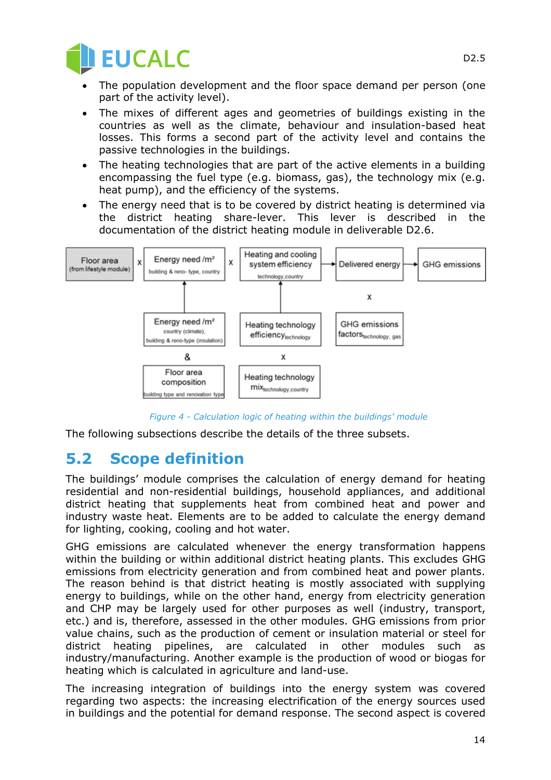

- The population development and the floor space demand per person (one part of the activity level).
- The mixes of different ages and geometries of buildings existing in the countries as well as the climate, behaviour and insulation-based heat losses. This forms a second part of the activity level and contains the passive technologies in the buildings.
- The heating technologies that are part of the active elements in a building encompassing the fuel type (e.g. biomass, gas), the technology mix (e.g. heat pump), and the efficiency of the systems.
- The energy need that is to be covered by district heating is determined via the district heating share-lever. This lever is described in the documentation of the district heating module in deliverable D2.6.



*Figure 4 - Calculation logic of heating within the buildings' module*

The following subsections describe the details of the three subsets.

## **5.2 Scope definition**

The buildings' module comprises the calculation of energy demand for heating residential and non-residential buildings, household appliances, and additional district heating that supplements heat from combined heat and power and industry waste heat. Elements are to be added to calculate the energy demand for lighting, cooking, cooling and hot water.

GHG emissions are calculated whenever the energy transformation happens within the building or within additional district heating plants. This excludes GHG emissions from electricity generation and from combined heat and power plants. The reason behind is that district heating is mostly associated with supplying energy to buildings, while on the other hand, energy from electricity generation and CHP may be largely used for other purposes as well (industry, transport, etc.) and is, therefore, assessed in the other modules. GHG emissions from prior value chains, such as the production of cement or insulation material or steel for district heating pipelines, are calculated in other modules such as industry/manufacturing. Another example is the production of wood or biogas for heating which is calculated in agriculture and land-use.

The increasing integration of buildings into the energy system was covered regarding two aspects: the increasing electrification of the energy sources used in buildings and the potential for demand response. The second aspect is covered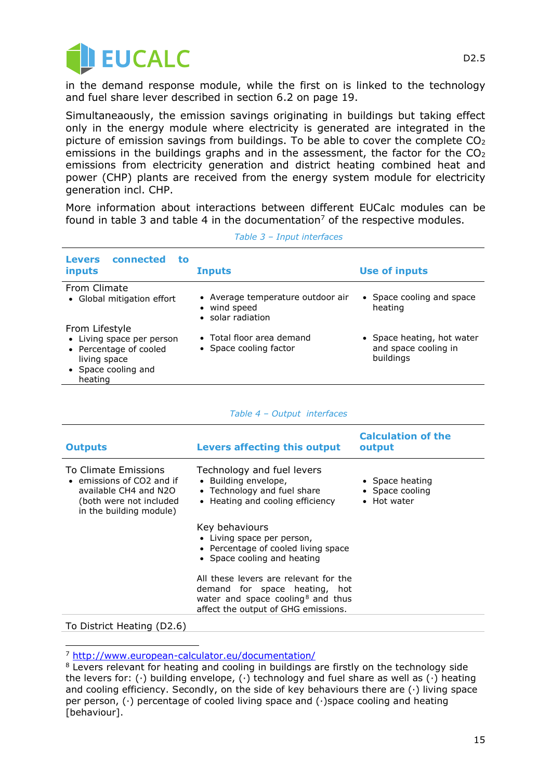

in the demand response module, while the first on is linked to the technology and fuel share lever described in section [6.2](#page-18-0) on page [19.](#page-18-0)

Simultaneaously, the emission savings originating in buildings but taking effect only in the energy module where electricity is generated are integrated in the picture of emission savings from buildings. To be able to cover the complete  $CO<sub>2</sub>$ emissions in the buildings graphs and in the assessment, the factor for the  $CO<sub>2</sub>$ emissions from electricity generation and district heating combined heat and power (CHP) plants are received from the energy system module for electricity generation incl. CHP.

More information about interactions between different EUCalc modules can be found in [table 3](#page-14-0) and [table 4](#page-14-1) in the documentation<sup>7</sup> of the respective modules.

<span id="page-14-0"></span>

| connected<br><b>Levers</b><br>to.<br><i>inputs</i> | <b>Inputs</b>                     | <b>Use of inputs</b>              |
|----------------------------------------------------|-----------------------------------|-----------------------------------|
| From Climate<br>• Global mitigation effort         | • Average temperature outdoor air | • Space cooling and space         |
|                                                    | • wind speed<br>• solar radiation | heating                           |
| From Lifestyle                                     |                                   |                                   |
| • Living space per person                          | • Total floor area demand         | • Space heating, hot water        |
| • Percentage of cooled<br>living space             | • Space cooling factor            | and space cooling in<br>buildings |
| • Space cooling and<br>heating                     |                                   |                                   |

#### *Table 3 – Input interfaces*

#### <span id="page-14-2"></span>*Table 4 – Output interfaces*

<span id="page-14-1"></span>

| <b>Outputs</b>                                                                                                                           | Levers affecting this output                                                                                                                          | <b>Calculation of the</b><br>output               |
|------------------------------------------------------------------------------------------------------------------------------------------|-------------------------------------------------------------------------------------------------------------------------------------------------------|---------------------------------------------------|
| To Climate Emissions<br>$\bullet$ emissions of CO2 and if<br>available CH4 and N2O<br>(both were not included<br>in the building module) | Technology and fuel levers<br>• Building envelope,<br>• Technology and fuel share<br>• Heating and cooling efficiency                                 | • Space heating<br>• Space cooling<br>• Hot water |
|                                                                                                                                          | Key behaviours<br>• Living space per person,<br>• Percentage of cooled living space<br>• Space cooling and heating                                    |                                                   |
|                                                                                                                                          | All these levers are relevant for the<br>demand for space heating, hot<br>water and space cooling $8$ and thus<br>affect the output of GHG emissions. |                                                   |
| $\sim$ $\sim$ $\sim$ $\sim$                                                                                                              |                                                                                                                                                       |                                                   |

To District Heating (D2.6)

<sup>7</sup> <http://www.european-calculator.eu/documentation/>

<sup>&</sup>lt;sup>8</sup> Levers relevant for heating and cooling in buildings are firstly on the technology side the levers for: ( $\cdot$ ) building envelope, ( $\cdot$ ) technology and fuel share as well as ( $\cdot$ ) heating and cooling efficiency. Secondly, on the side of key behaviours there are  $(\cdot)$  living space per person, (·) percentage of cooled living space and (·)space cooling and heating [behaviour].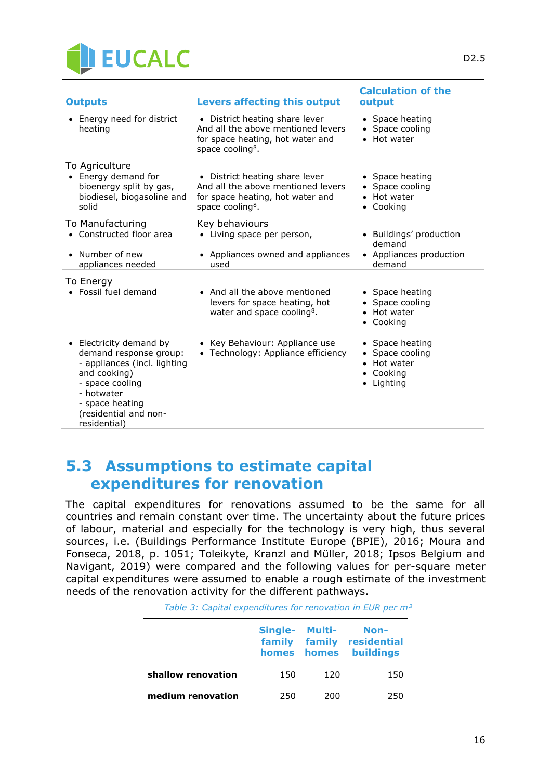

| <b>Outputs</b>                                                                                                                                                      | <b>Levers affecting this output</b>                                                                                                        | <b>Calculation of the</b><br>output                                               |
|---------------------------------------------------------------------------------------------------------------------------------------------------------------------|--------------------------------------------------------------------------------------------------------------------------------------------|-----------------------------------------------------------------------------------|
| • Energy need for district<br>heating                                                                                                                               | • District heating share lever<br>And all the above mentioned levers<br>for space heating, hot water and<br>space cooling <sup>8</sup> .   | • Space heating<br>• Space cooling<br>• Hot water                                 |
| To Agriculture<br>• Energy demand for<br>bioenergy split by gas,<br>biodiesel, biogasoline and<br>solid                                                             | • District heating share lever<br>And all the above mentioned levers<br>for space heating, hot water and<br>space cooling <sup>8</sup> .   | • Space heating<br>Space cooling<br>Hot water<br>Cooking                          |
| To Manufacturing<br>• Constructed floor area<br>• Number of new<br>appliances needed                                                                                | Key behaviours<br>• Living space per person,<br>• Appliances owned and appliances<br>used                                                  | • Buildings' production<br>demand<br>• Appliances production<br>demand            |
| To Energy<br>• Fossil fuel demand<br>• Electricity demand by                                                                                                        | • And all the above mentioned<br>levers for space heating, hot<br>water and space cooling <sup>8</sup> .<br>• Key Behaviour: Appliance use | • Space heating<br>• Space cooling<br>• Hot water<br>• Cooking<br>• Space heating |
| demand response group:<br>- appliances (incl. lighting<br>and cooking)<br>- space cooling<br>- hotwater<br>- space heating<br>(residential and non-<br>residential) | • Technology: Appliance efficiency                                                                                                         | Space cooling<br>Hot water<br>• Cooking<br>• Lighting                             |

## **5.3 Assumptions to estimate capital expenditures for renovation**

The capital expenditures for renovations assumed to be the same for all countries and remain constant over time. The uncertainty about the future prices of labour, material and especially for the technology is very high, thus several sources, i.e. (Buildings Performance Institute Europe (BPIE), 2016; Moura and Fonseca, 2018, p. 1051; Toleikyte, Kranzl and Müller, 2018; Ipsos Belgium and Navigant, 2019) were compared and the following values for per-square meter capital expenditures were assumed to enable a rough estimate of the investment needs of the renovation activity for the different pathways.

*Table 3: Capital expenditures for renovation in EUR per m²*

|                    |     |     | Single- Multi- Non-<br>family family residential<br>homes homes buildings |
|--------------------|-----|-----|---------------------------------------------------------------------------|
| shallow renovation | 150 | 120 | 150                                                                       |
| medium renovation  | 250 | 200 | 250                                                                       |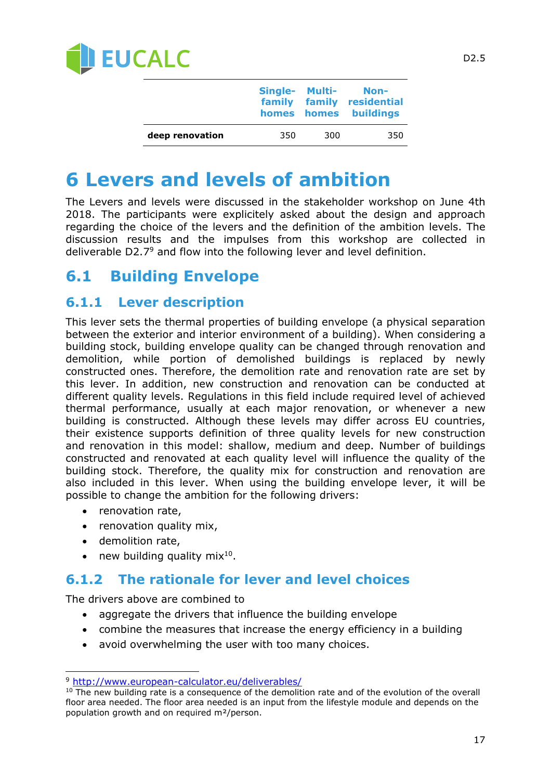

|                 | Single- Multi- Non-<br>family family residential<br>homes homes buildings |     |     |
|-----------------|---------------------------------------------------------------------------|-----|-----|
| deep renovation | 350                                                                       | 300 | 350 |

# **6 Levers and levels of ambition**

The Levers and levels were discussed in the stakeholder workshop on June 4th 2018. The participants were explicitely asked about the design and approach regarding the choice of the levers and the definition of the ambition levels. The discussion results and the impulses from this workshop are collected in deliverable  $D2.7^9$  and flow into the following lever and level definition.

# **6.1 Building Envelope**

### **6.1.1 Lever description**

This lever sets the thermal properties of building envelope (a physical separation between the exterior and interior environment of a building). When considering a building stock, building envelope quality can be changed through renovation and demolition, while portion of demolished buildings is replaced by newly constructed ones. Therefore, the demolition rate and renovation rate are set by this lever. In addition, new construction and renovation can be conducted at different quality levels. Regulations in this field include required level of achieved thermal performance, usually at each major renovation, or whenever a new building is constructed. Although these levels may differ across EU countries, their existence supports definition of three quality levels for new construction and renovation in this model: shallow, medium and deep. Number of buildings constructed and renovated at each quality level will influence the quality of the building stock. Therefore, the quality mix for construction and renovation are also included in this lever. When using the building envelope lever, it will be possible to change the ambition for the following drivers:

- renovation rate,
- renovation quality mix,
- demolition rate,
- new building quality mix $^{10}$ .

### **6.1.2 The rationale for lever and level choices**

The drivers above are combined to

- aggregate the drivers that influence the building envelope
- combine the measures that increase the energy efficiency in a building
- avoid overwhelming the user with too many choices.

<sup>9</sup> <http://www.european-calculator.eu/deliverables/>

 $10$  The new building rate is a consequence of the demolition rate and of the evolution of the overall floor area needed. The floor area needed is an input from the lifestyle module and depends on the population growth and on required m²/person.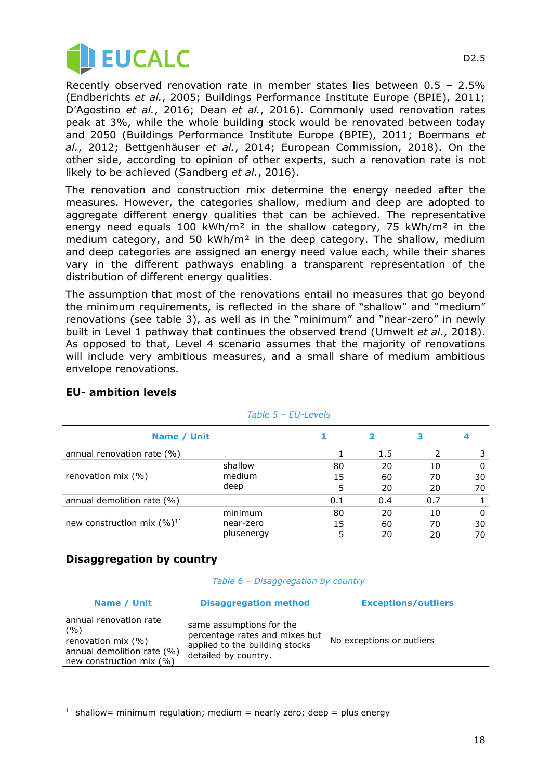

Recently observed renovation rate in member states lies between 0.5 – 2.5% (Endberichts *et al.*, 2005; Buildings Performance Institute Europe (BPIE), 2011; D'Agostino *et al.*, 2016; Dean *et al.*, 2016). Commonly used renovation rates peak at 3%, while the whole building stock would be renovated between today and 2050 (Buildings Performance Institute Europe (BPIE), 2011; Boermans *et al.*, 2012; Bettgenhäuser *et al.*, 2014; European Commission, 2018). On the other side, according to opinion of other experts, such a renovation rate is not likely to be achieved (Sandberg *et al.*, 2016).

The renovation and construction mix determine the energy needed after the measures. However, the categories shallow, medium and deep are adopted to aggregate different energy qualities that can be achieved. The representative energy need equals 100 kWh/m<sup>2</sup> in the shallow category, 75 kWh/m<sup>2</sup> in the medium category, and 50 kWh/m² in the deep category. The shallow, medium and deep categories are assigned an energy need value each, while their shares vary in the different pathways enabling a transparent representation of the distribution of different energy qualities.

The assumption that most of the renovations entail no measures that go beyond the minimum requirements, is reflected in the share of "shallow" and "medium" renovations (see table 3), as well as in the "minimum" and "near-zero" in newly built in Level 1 pathway that continues the observed trend (Umwelt *et al.*, 2018). As opposed to that, Level 4 scenario assumes that the majority of renovations will include very ambitious measures, and a small share of medium ambitious envelope renovations.

| Name / Unit                      |            |     |     |     |    |
|----------------------------------|------------|-----|-----|-----|----|
| annual renovation rate $(\% )$   |            |     | 1.5 |     |    |
|                                  | shallow    | 80  | 20  | 10  |    |
| renovation mix $(\%)$            | medium     | 15  | 60  | 70  | 30 |
|                                  | deep       | 5   | 20  | 20  | 70 |
| annual demolition rate (%)       |            | 0.1 | 0.4 | 0.7 |    |
|                                  | minimum    | 80  | 20  | 10  | 0  |
| new construction mix $(\%)^{11}$ | near-zero  | 15  | 60  | 70  | 30 |
|                                  | plusenergy | 5   | 20  | 20  | 70 |

#### **EU- ambition levels**

#### *Table 5 – EU-Levels*

#### **Disaggregation by country**

|  | Table 6 - Disaggregation by country |  |  |
|--|-------------------------------------|--|--|
|--|-------------------------------------|--|--|

| Name / Unit                                                                                                     | <b>Disaggregation method</b>                                                                                         | <b>Exceptions/outliers</b> |
|-----------------------------------------------------------------------------------------------------------------|----------------------------------------------------------------------------------------------------------------------|----------------------------|
| annual renovation rate<br>(%)<br>renovation mix $(%)$<br>annual demolition rate (%)<br>new construction mix (%) | same assumptions for the<br>percentage rates and mixes but<br>applied to the building stocks<br>detailed by country. | No exceptions or outliers  |

<sup>&</sup>lt;sup>11</sup> shallow= minimum regulation; medium = nearly zero; deep = plus energy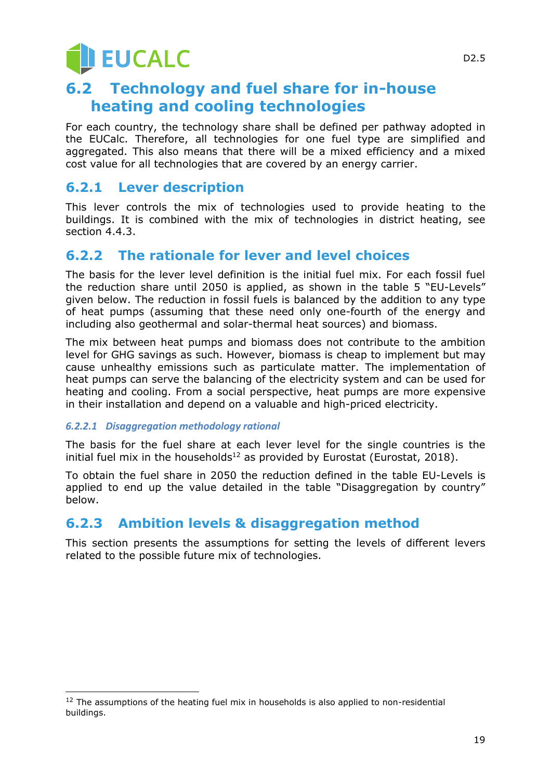# **JEUCALC**

# <span id="page-18-0"></span>**6.2 Technology and fuel share for in-house heating and cooling technologies**

For each country, the technology share shall be defined per pathway adopted in the EUCalc. Therefore, all technologies for one fuel type are simplified and aggregated. This also means that there will be a mixed efficiency and a mixed cost value for all technologies that are covered by an energy carrier.

### **6.2.1 Lever description**

This lever controls the mix of technologies used to provide heating to the buildings. It is combined with the mix of technologies in district heating, see section 4.4.3.

## **6.2.2 The rationale for lever and level choices**

The basis for the lever level definition is the initial fuel mix. For each fossil fuel the reduction share until 2050 is applied, as shown in the table 5 "EU-Levels" given below. The reduction in fossil fuels is balanced by the addition to any type of heat pumps (assuming that these need only one-fourth of the energy and including also geothermal and solar-thermal heat sources) and biomass.

The mix between heat pumps and biomass does not contribute to the ambition level for GHG savings as such. However, biomass is cheap to implement but may cause unhealthy emissions such as particulate matter. The implementation of heat pumps can serve the balancing of the electricity system and can be used for heating and cooling. From a social perspective, heat pumps are more expensive in their installation and depend on a valuable and high-priced electricity.

#### *6.2.2.1 Disaggregation methodology rational*

The basis for the fuel share at each lever level for the single countries is the initial fuel mix in the households<sup>12</sup> as provided by Eurostat (Eurostat, 2018).

To obtain the fuel share in 2050 the reduction defined in the table EU-Levels is applied to end up the value detailed in the table "Disaggregation by country" below.

## **6.2.3 Ambition levels & disaggregation method**

This section presents the assumptions for setting the levels of different levers related to the possible future mix of technologies.

 $12$  The assumptions of the heating fuel mix in households is also applied to non-residential buildings.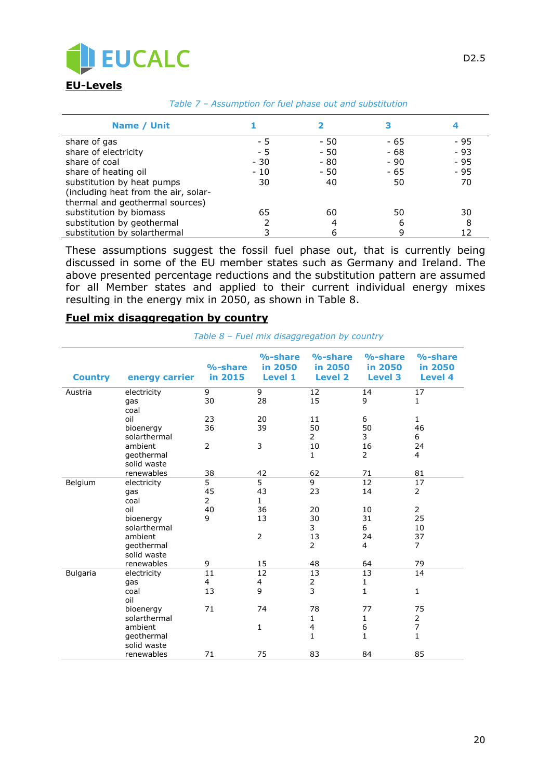

| Table 7 - Assumption for fuel phase out and substitution |  |  |
|----------------------------------------------------------|--|--|
|                                                          |  |  |

| Name / Unit                          |       |       |       |       |
|--------------------------------------|-------|-------|-------|-------|
| share of gas                         | - 5   | $-50$ | - 65  | - 95  |
| share of electricity                 | - 5   | $-50$ | - 68  | $-93$ |
| share of coal                        | $-30$ | $-80$ | $-90$ | $-95$ |
| share of heating oil                 | $-10$ | $-50$ | - 65  | $-95$ |
| substitution by heat pumps           | 30    | 40    | 50    | 70    |
| (including heat from the air, solar- |       |       |       |       |
| thermal and geothermal sources)      |       |       |       |       |
| substitution by biomass              | 65    | 60    | 50    | 30    |
| substitution by geothermal           |       | 4     | 6     | 8     |
| substitution by solarthermal         |       |       |       | 12    |

These assumptions suggest the fossil fuel phase out, that is currently being discussed in some of the EU member states such as Germany and Ireland. The above presented percentage reductions and the substitution pattern are assumed for all Member states and applied to their current individual energy mixes resulting in the energy mix in 2050, as shown in [Table 8.](#page-19-0)

#### **Fuel mix disaggregation by country**

*Table 8 – Fuel mix disaggregation by country*

<span id="page-19-0"></span>

| <b>Country</b>  | energy carrier            | $% - share$<br>in 2015 | %-share<br>in 2050<br><b>Level 1</b> | $% - share$<br>in 2050<br><b>Level 2</b> | $% - share$<br>in 2050<br><b>Level 3</b> | %-share<br>in 2050<br><b>Level 4</b> |
|-----------------|---------------------------|------------------------|--------------------------------------|------------------------------------------|------------------------------------------|--------------------------------------|
| Austria         | electricity               | 9                      | 9                                    | 12                                       | 14                                       | 17                                   |
|                 | gas                       | 30                     | 28                                   | 15                                       | 9                                        | 1                                    |
|                 | coal                      |                        |                                      |                                          |                                          |                                      |
|                 | oil                       | 23                     | 20                                   | 11                                       | 6                                        | $\mathbf{1}$                         |
|                 | bioenergy                 | 36                     | 39                                   | 50                                       | 50                                       | 46                                   |
|                 | solarthermal              |                        |                                      | $\overline{2}$                           | 3                                        | 6                                    |
|                 | ambient                   | 2                      | 3                                    | 10                                       | 16                                       | 24                                   |
|                 | geothermal                |                        |                                      | $\mathbf{1}$                             | $\overline{2}$                           | 4                                    |
|                 | solid waste<br>renewables | 38                     | 42                                   | 62                                       | 71                                       | 81                                   |
| Belgium         | electricity               | 5                      | 5                                    | 9                                        | 12                                       | 17                                   |
|                 | qas                       | 45                     | 43                                   | 23                                       | 14                                       | $\overline{2}$                       |
|                 | coal                      | $\overline{2}$         | $\mathbf{1}$                         |                                          |                                          |                                      |
|                 | oil                       | 40                     | 36                                   | 20                                       | 10                                       | $\overline{2}$                       |
|                 | bioenergy                 | 9                      | 13                                   | 30                                       | 31                                       | 25                                   |
|                 | solarthermal              |                        |                                      | 3                                        | 6                                        | 10                                   |
|                 | ambient                   |                        | $\overline{2}$                       | 13                                       | 24                                       | 37                                   |
|                 | geothermal                |                        |                                      | $\overline{2}$                           | 4                                        | $\overline{7}$                       |
|                 | solid waste               |                        |                                      |                                          |                                          |                                      |
|                 | renewables                | 9                      | 15                                   | 48                                       | 64                                       | 79                                   |
| <b>Bulgaria</b> | electricity               | 11                     | 12                                   | 13                                       | 13                                       | 14                                   |
|                 | gas                       | $\overline{4}$         | 4                                    | $\overline{2}$                           | $\mathbf{1}$                             |                                      |
|                 | coal                      | 13                     | 9                                    | 3                                        | $\mathbf{1}$                             | 1                                    |
|                 | oil                       |                        |                                      |                                          |                                          |                                      |
|                 | bioenergy                 | 71                     | 74                                   | 78                                       | 77                                       | 75                                   |
|                 | solarthermal              |                        |                                      | $\mathbf{1}$                             | 1                                        | 2                                    |
|                 | ambient                   |                        | $\mathbf{1}$                         | 4                                        | 6                                        | $\overline{7}$                       |
|                 | qeothermal                |                        |                                      | $\mathbf{1}$                             | 1                                        | $\mathbf{1}$                         |
|                 | solid waste               |                        |                                      |                                          |                                          |                                      |
|                 | renewables                | 71                     | 75                                   | 83                                       | 84                                       | 85                                   |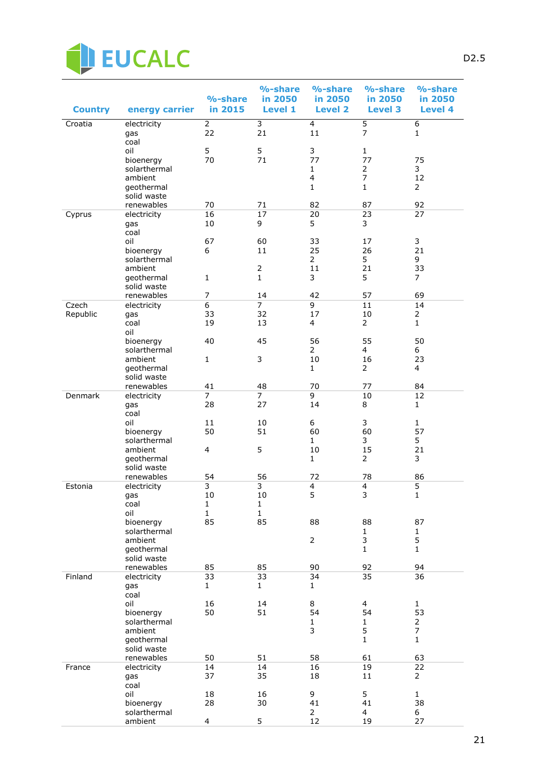

| <b>Country</b> | energy carrier            | %-share<br>in 2015   | %-share<br>in 2050<br><b>Level 1</b> | %-share<br>in 2050<br><b>Level 2</b>    | %-share<br>in 2050<br><b>Level 3</b> | %-share<br>in 2050<br><b>Level 4</b> |
|----------------|---------------------------|----------------------|--------------------------------------|-----------------------------------------|--------------------------------------|--------------------------------------|
|                |                           |                      | $\overline{3}$                       |                                         |                                      |                                      |
| Croatia        | electricity<br>gas        | 2<br>22              | 21                                   | $\overline{4}$<br>11                    | $\overline{5}$<br>$\overline{7}$     | 6<br>$\mathbf{1}$                    |
|                | coal                      |                      |                                      |                                         |                                      |                                      |
|                | oil                       | 5                    | 5                                    | 3                                       | $\mathbf{1}$                         |                                      |
|                | bioenergy                 | 70                   | 71                                   | 77                                      | 77                                   | 75                                   |
|                | solarthermal<br>ambient   |                      |                                      | $\mathbf{1}$<br>$\overline{\mathbf{4}}$ | 2<br>7                               | 3<br>12                              |
|                | geothermal                |                      |                                      | $\mathbf{1}$                            | $\mathbf{1}$                         | $\overline{2}$                       |
|                | solid waste               |                      |                                      |                                         |                                      |                                      |
|                | renewables                | 70                   | 71                                   | 82                                      | 87                                   | 92                                   |
| Cyprus         | electricity               | 16                   | 17                                   | 20                                      | 23                                   | 27                                   |
|                | gas                       | 10                   | 9                                    | 5                                       | 3                                    |                                      |
|                | coal<br>oil               | 67                   | 60                                   | 33                                      | 17                                   | 3                                    |
|                | bioenergy                 | 6                    | 11                                   | 25                                      | 26                                   | 21                                   |
|                | solarthermal              |                      |                                      | $\overline{2}$                          | 5                                    | 9                                    |
|                | ambient                   |                      | $\overline{2}$                       | 11                                      | 21                                   | 33                                   |
|                | geothermal                | $\mathbf{1}$         | $\mathbf{1}$                         | 3                                       | 5                                    | $\overline{7}$                       |
|                | solid waste               |                      |                                      |                                         |                                      |                                      |
| Czech          | renewables                | 7<br>$\overline{6}$  | 14<br>$\overline{7}$                 | 42<br>9                                 | 57<br>11                             | 69<br>14                             |
| Republic       | electricity<br>gas        | 33                   | 32                                   | 17                                      | 10                                   | $\overline{2}$                       |
|                | coal                      | 19                   | 13                                   | 4                                       | $\overline{2}$                       | $\mathbf{1}$                         |
|                | oil<br>bioenergy          | 40                   | 45                                   | 56                                      | 55                                   | 50                                   |
|                | solarthermal              |                      |                                      | $\overline{2}$                          | 4                                    | 6                                    |
|                | ambient                   | $\mathbf{1}$         | 3                                    | 10                                      | 16                                   | 23                                   |
|                | geothermal                |                      |                                      | $\mathbf{1}$                            | $\overline{2}$                       | 4                                    |
|                | solid waste               |                      |                                      |                                         |                                      |                                      |
| Denmark        | renewables<br>electricity | 41<br>$\overline{7}$ | 48<br>7                              | 70<br>$\overline{9}$                    | 77<br>10                             | 84<br>12                             |
|                | gas                       | 28                   | 27                                   | 14                                      | 8                                    | $\mathbf{1}$                         |
|                | coal                      |                      |                                      |                                         |                                      |                                      |
|                | oil                       | 11                   | 10                                   | 6                                       | 3                                    | $\mathbf{1}$                         |
|                | bioenergy                 | 50                   | 51                                   | 60                                      | 60                                   | 57                                   |
|                | solarthermal              |                      |                                      | $\mathbf{1}$                            | 3                                    | 5                                    |
|                | ambient                   | $\overline{4}$       | 5                                    | 10<br>$\mathbf{1}$                      | 15                                   | 21                                   |
|                | geothermal<br>solid waste |                      |                                      |                                         | $\overline{2}$                       | 3                                    |
|                | renewables                | 54                   | 56                                   | 72                                      | 78                                   | 86                                   |
| Estonia        | electricity               | 3                    | $\overline{3}$                       | $\overline{\mathbf{4}}$                 | $\overline{4}$                       | 5                                    |
|                | gas                       | 10                   | 10                                   | 5                                       | 3                                    | $\mathbf{1}$                         |
|                | coal                      | $\mathbf 1$          | $\mathbf 1$                          |                                         |                                      |                                      |
|                | oil                       | $\mathbf{1}$         | $\mathbf{1}$                         |                                         |                                      |                                      |
|                | bioenergy<br>solarthermal | 85                   | 85                                   | 88                                      | 88<br>1                              | 87<br>1                              |
|                | ambient                   |                      |                                      | $\overline{2}$                          | 3                                    | 5                                    |
|                | geothermal                |                      |                                      |                                         | $\mathbf{1}$                         | $\mathbf{1}$                         |
|                | solid waste               |                      |                                      |                                         |                                      |                                      |
|                | renewables                | 85                   | 85                                   | 90                                      | 92                                   | 94                                   |
| Finland        | electricity               | 33                   | 33                                   | 34                                      | 35                                   | 36                                   |
|                | gas<br>coal               | $\mathbf{1}$         | $\mathbf{1}$                         | $\mathbf{1}$                            |                                      |                                      |
|                | oil                       | 16                   | 14                                   | 8                                       | 4                                    | $\mathbf{1}$                         |
|                | bioenergy                 | 50                   | 51                                   | 54                                      | 54                                   | 53                                   |
|                | solarthermal              |                      |                                      | 1                                       | 1                                    | $\overline{2}$                       |
|                | ambient                   |                      |                                      | 3                                       | 5                                    | $\overline{7}$                       |
|                | qeothermal                |                      |                                      |                                         | $\mathbf{1}$                         | $\mathbf{1}$                         |
|                | solid waste<br>renewables | 50                   | 51                                   | 58                                      | 61                                   | 63                                   |
| France         | electricity               | 14                   | 14                                   | 16                                      | 19                                   | 22                                   |
|                | gas                       | 37                   | 35                                   | 18                                      | 11                                   | $\overline{2}$                       |
|                | coal                      |                      |                                      |                                         |                                      |                                      |
|                | oil                       | 18                   | 16                                   | 9                                       | 5                                    | $\mathbf{1}$                         |
|                | bioenergy                 | 28                   | 30                                   | 41                                      | 41                                   | 38                                   |
|                | solarthermal<br>ambient   | $\overline{4}$       | 5                                    | $\overline{2}$<br>12                    | 4<br>19                              | 6<br>27                              |
|                |                           |                      |                                      |                                         |                                      |                                      |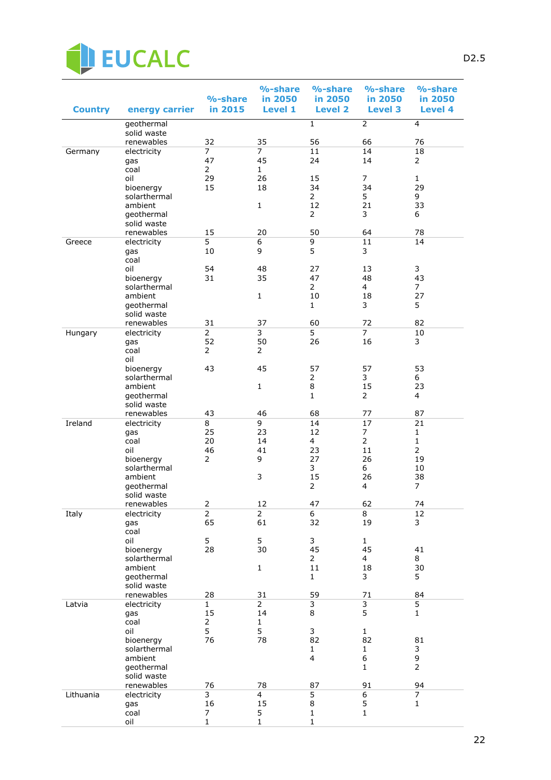

| <b>Country</b> | energy carrier            | %-share<br>in 2015 | %-share<br>in 2050<br><b>Level 1</b> | %-share<br>in 2050<br><b>Level 2</b> | %-share<br>in 2050<br><b>Level 3</b> | %-share<br>in 2050<br><b>Level 4</b> |
|----------------|---------------------------|--------------------|--------------------------------------|--------------------------------------|--------------------------------------|--------------------------------------|
|                | geothermal<br>solid waste |                    |                                      | $\mathbf{1}$                         | $\overline{2}$                       | 4                                    |
|                | renewables                | 32                 | 35                                   | 56                                   | 66                                   | 76                                   |
| Germany        | electricity               | 7                  | $\overline{7}$                       | 11                                   | 14                                   | 18                                   |
|                | gas                       | 47                 | 45                                   | 24                                   | 14                                   | $\overline{2}$                       |
|                | coal                      | $\overline{2}$     | $\mathbf{1}$                         |                                      |                                      |                                      |
|                | oil                       | 29                 | 26                                   | 15                                   | 7                                    | $\mathbf{1}$                         |
|                | bioenergy                 | 15                 | 18                                   | 34                                   | 34                                   | 29                                   |
|                | solarthermal              |                    |                                      | $\overline{2}$                       | 5                                    | 9                                    |
|                | ambient                   |                    | $\mathbf{1}$                         | 12                                   | 21                                   | 33                                   |
|                | geothermal                |                    |                                      | $\overline{2}$                       | 3                                    | 6                                    |
|                | solid waste               |                    | 20                                   | 50                                   |                                      |                                      |
| Greece         | renewables                | 15<br>5            | 6                                    | $\overline{9}$                       | 64<br>11                             | 78<br>14                             |
|                | electricity               | 10                 | 9                                    | 5                                    | 3                                    |                                      |
|                | gas<br>coal               |                    |                                      |                                      |                                      |                                      |
|                | oil                       | 54                 | 48                                   | 27                                   | 13                                   | 3                                    |
|                | bioenergy                 | 31                 | 35                                   | 47                                   | 48                                   | 43                                   |
|                | solarthermal              |                    |                                      | $\overline{2}$                       | $\overline{4}$                       | 7                                    |
|                | ambient                   |                    | $1\,$                                | 10                                   | 18                                   | 27                                   |
|                | geothermal                |                    |                                      | $\mathbf{1}$                         | 3                                    | 5                                    |
|                | solid waste               |                    |                                      |                                      |                                      |                                      |
|                | renewables                | 31                 | 37                                   | 60                                   | 72                                   | 82                                   |
| Hungary        | electricity               | $\overline{2}$     | 3                                    | 5                                    | $\overline{7}$                       | 10                                   |
|                | gas                       | 52                 | 50                                   | 26                                   | 16                                   | 3                                    |
|                | coal                      | $\overline{2}$     | $\overline{2}$                       |                                      |                                      |                                      |
|                | oil                       |                    |                                      |                                      |                                      |                                      |
|                | bioenergy<br>solarthermal | 43                 | 45                                   | 57<br>$\overline{2}$                 | 57<br>3                              | 53<br>6                              |
|                | ambient                   |                    | $\mathbf{1}$                         | 8                                    | 15                                   | 23                                   |
|                | geothermal                |                    |                                      | $\mathbf{1}$                         | $\overline{2}$                       | 4                                    |
|                | solid waste               |                    |                                      |                                      |                                      |                                      |
|                | renewables                | 43                 | 46                                   | 68                                   | 77                                   | 87                                   |
| Ireland        | electricity               | 8                  | 9                                    | 14                                   | 17                                   | 21                                   |
|                | gas                       | 25                 | 23                                   | 12                                   | 7                                    | $\mathbf{1}$                         |
|                | coal                      | 20                 | 14                                   | $\overline{4}$                       | $\overline{2}$                       | $\mathbf{1}$                         |
|                | oil                       | 46                 | 41                                   | 23                                   | 11                                   | $\overline{2}$                       |
|                | bioenergy                 | $\overline{2}$     | 9                                    | 27                                   | 26                                   | 19                                   |
|                | solarthermal              |                    |                                      | 3                                    | 6                                    | 10                                   |
|                | ambient                   |                    | 3                                    | 15                                   | 26                                   | 38<br>$\overline{7}$                 |
|                | geothermal<br>solid waste |                    |                                      | $\overline{2}$                       | 4                                    |                                      |
|                | renewables                | $\overline{2}$     | 12                                   | 47                                   | 62                                   | 74                                   |
| Italy          | electricity               | $\overline{2}$     | $\overline{2}$                       | 6                                    | 8                                    | 12                                   |
|                | gas                       | 65                 | 61                                   | 32                                   | 19                                   | 3                                    |
|                | coal                      |                    |                                      |                                      |                                      |                                      |
|                | oil                       | 5                  | 5                                    | 3                                    | $\mathbf{1}$                         |                                      |
|                | bioenergy                 | 28                 | 30                                   | 45                                   | 45                                   | 41                                   |
|                | solarthermal              |                    |                                      | $\overline{2}$                       | 4                                    | 8                                    |
|                | ambient                   |                    | $\mathbf{1}$                         | 11                                   | 18                                   | 30                                   |
|                | geothermal                |                    |                                      | $\mathbf{1}$                         | 3                                    | 5                                    |
|                | solid waste               |                    |                                      |                                      |                                      |                                      |
|                | renewables                | 28                 | 31                                   | 59                                   | 71                                   | 84                                   |
| Latvia         | electricity               | $\mathbf{1}$<br>15 | $\overline{2}$<br>14                 | $\overline{3}$<br>8                  | $\overline{3}$<br>5                  | 5<br>$\mathbf{1}$                    |
|                | gas<br>coal               | $\overline{2}$     | $\mathbf{1}$                         |                                      |                                      |                                      |
|                | oil                       | 5                  | 5                                    | 3                                    | $\mathbf{1}$                         |                                      |
|                | bioenergy                 | 76                 | 78                                   | 82                                   | 82                                   | 81                                   |
|                | solarthermal              |                    |                                      | 1                                    | $\mathbf{1}$                         | 3                                    |
|                | ambient                   |                    |                                      | $\overline{\mathbf{4}}$              | 6                                    | 9                                    |
|                | geothermal                |                    |                                      |                                      | $\mathbf{1}$                         | $\overline{2}$                       |
|                | solid waste               |                    |                                      |                                      |                                      |                                      |
|                | renewables                | 76                 | 78                                   | 87                                   | 91                                   | 94                                   |
| Lithuania      | electricity               | 3                  | $\overline{4}$                       | 5                                    | 6                                    | 7                                    |
|                | gas                       | 16                 | 15                                   | 8                                    | 5                                    | $\mathbf{1}$                         |
|                | coal                      | 7<br>$\mathbf 1$   | 5<br>$\mathbf 1$                     | $\mathbf{1}$<br>$\mathbf 1$          | $\mathbf 1$                          |                                      |
|                | oil                       |                    |                                      |                                      |                                      |                                      |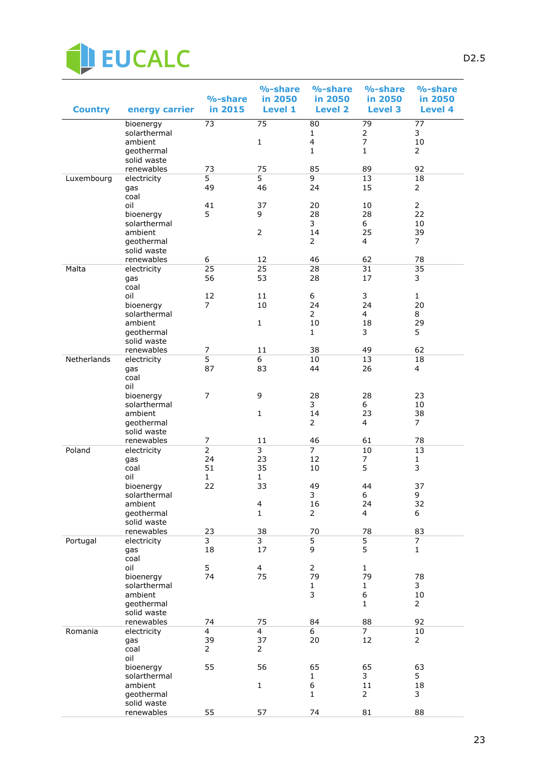

| <b>Country</b> | energy carrier            | %-share<br>in 2015   | %-share<br>in 2050<br><b>Level 1</b> | %-share<br>in 2050<br><b>Level 2</b>    | %-share<br>in 2050<br><b>Level 3</b> | %-share<br>in 2050<br><b>Level 4</b> |
|----------------|---------------------------|----------------------|--------------------------------------|-----------------------------------------|--------------------------------------|--------------------------------------|
|                | bioenergy                 | $\overline{73}$      | $\overline{75}$                      | 80                                      | 79                                   | 77                                   |
|                | solarthermal<br>ambient   |                      | $1\,$                                | $\mathbf{1}$<br>$\overline{\mathbf{4}}$ | $\overline{2}$<br>$\overline{7}$     | 3<br>10                              |
|                | geothermal                |                      |                                      | $\mathbf{1}$                            | $\mathbf{1}$                         | $\overline{2}$                       |
|                | solid waste               |                      |                                      |                                         |                                      |                                      |
|                | renewables                | 73<br>5              | 75<br>5                              | 85                                      | 89                                   | 92                                   |
| Luxembourg     | electricity<br>gas        | 49                   | 46                                   | 9<br>24                                 | 13<br>15                             | 18<br>$\overline{2}$                 |
|                | coal                      |                      |                                      |                                         |                                      |                                      |
|                | oil                       | 41                   | 37                                   | 20                                      | 10                                   | $\overline{2}$                       |
|                | bioenergy<br>solarthermal | 5                    | 9                                    | 28<br>3                                 | 28<br>6                              | 22<br>10                             |
|                | ambient                   |                      | $\overline{2}$                       | 14                                      | 25                                   | 39                                   |
|                | geothermal                |                      |                                      | $\overline{2}$                          | 4                                    | $\overline{7}$                       |
|                | solid waste<br>renewables | 6                    | 12                                   | 46                                      | 62                                   | 78                                   |
| Malta          | electricity               | 25                   | 25                                   | 28                                      | 31                                   | 35                                   |
|                | gas                       | 56                   | 53                                   | 28                                      | 17                                   | 3                                    |
|                | coal                      |                      |                                      |                                         |                                      |                                      |
|                | oil<br>bioenergy          | 12<br>7              | 11<br>10                             | 6<br>24                                 | 3<br>24                              | $\mathbf{1}$<br>20                   |
|                | solarthermal              |                      |                                      | $\overline{2}$                          | 4                                    | 8                                    |
|                | ambient                   |                      | $\mathbf{1}$                         | 10                                      | 18                                   | 29                                   |
|                | qeothermal<br>solid waste |                      |                                      | $\mathbf{1}$                            | 3                                    | 5                                    |
|                | renewables                | 7                    | 11                                   | 38                                      | 49                                   | 62                                   |
| Netherlands    | electricity               | $\overline{5}$       | 6                                    | 10                                      | 13                                   | 18                                   |
|                | gas                       | 87                   | 83                                   | 44                                      | 26                                   | $\overline{4}$                       |
|                | coal<br>oil               |                      |                                      |                                         |                                      |                                      |
|                | bioenergy                 | 7                    | 9                                    | 28                                      | 28                                   | 23                                   |
|                | solarthermal              |                      |                                      | 3                                       | 6                                    | 10                                   |
|                | ambient<br>geothermal     |                      | $1\,$                                | 14<br>$\overline{2}$                    | 23<br>4                              | 38<br>$\overline{7}$                 |
|                | solid waste               |                      |                                      |                                         |                                      |                                      |
|                | renewables                | 7                    | 11                                   | 46                                      | 61                                   | 78                                   |
| Poland         | electricity<br>gas        | $\overline{2}$<br>24 | 3<br>23                              | $\overline{7}$<br>12                    | 10<br>$\overline{7}$                 | 13<br>1                              |
|                | coal                      | 51                   | 35                                   | 10                                      | 5                                    | 3                                    |
|                | oil                       | $\mathbf{1}$         | $\mathbf{1}$                         |                                         |                                      |                                      |
|                | bioenergy<br>solarthermal | 22                   | 33                                   | 49<br>3                                 | 44<br>6                              | 37<br>9                              |
|                | ambient                   |                      | 4                                    | 16                                      | 24                                   | 32                                   |
|                | geothermal                |                      | $\mathbf{1}$                         | $\overline{2}$                          | 4                                    | 6                                    |
|                | solid waste               |                      |                                      |                                         |                                      |                                      |
| Portugal       | renewables<br>electricity | 23<br>3              | 38<br>3                              | 70<br>$\overline{5}$                    | 78<br>$\overline{5}$                 | 83<br>$\overline{7}$                 |
|                | gas                       | 18                   | 17                                   | 9                                       | 5                                    | $\mathbf{1}$                         |
|                | coal<br>oil               | 5                    |                                      | $\overline{2}$                          |                                      |                                      |
|                | bioenergy                 | 74                   | 4<br>75                              | 79                                      | 1<br>79                              | 78                                   |
|                | solarthermal              |                      |                                      | $\mathbf{1}$                            | 1                                    | 3                                    |
|                | ambient                   |                      |                                      | 3                                       | 6                                    | 10                                   |
|                | geothermal<br>solid waste |                      |                                      |                                         | $\mathbf{1}$                         | 2                                    |
|                | renewables                | 74                   | 75                                   | 84                                      | 88                                   | 92                                   |
| Romania        | electricity               | $\overline{4}$       | $\overline{4}$                       | 6                                       | $\overline{7}$                       | 10                                   |
|                | gas<br>coal               | 39<br>2              | 37<br>$\overline{2}$                 | 20                                      | 12                                   | $\overline{2}$                       |
|                | oil                       |                      |                                      |                                         |                                      |                                      |
|                | bioenergy                 | 55                   | 56                                   | 65                                      | 65                                   | 63                                   |
|                | solarthermal<br>ambient   |                      | $\mathbf{1}$                         | $\mathbf{1}$<br>6                       | 3<br>11                              | 5                                    |
|                | geothermal                |                      |                                      | $\mathbf{1}$                            | $\overline{2}$                       | 18<br>3                              |
|                | solid waste               |                      |                                      |                                         |                                      |                                      |
|                | renewables                | 55                   | 57                                   | 74                                      | 81                                   | 88                                   |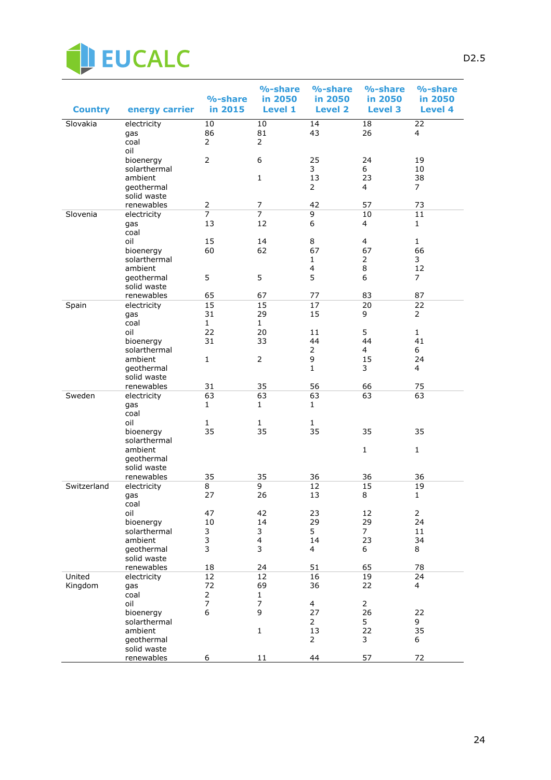

|                |                           |                                  | %-share                        | %-share                   | %-share                   | %-share                   |
|----------------|---------------------------|----------------------------------|--------------------------------|---------------------------|---------------------------|---------------------------|
| <b>Country</b> | energy carrier            | %-share<br>in 2015               | in 2050<br><b>Level 1</b>      | in 2050<br><b>Level 2</b> | in 2050<br><b>Level 3</b> | in 2050<br><b>Level 4</b> |
| Slovakia       | electricity               | 10                               | 10                             | $\overline{14}$           | 18                        | 22                        |
|                | gas                       | 86                               | 81                             | 43                        | 26                        | 4                         |
|                | coal<br>oil               | $\overline{2}$                   | $\overline{2}$                 |                           |                           |                           |
|                | bioenergy                 | $\overline{2}$                   | 6                              | 25                        | 24                        | 19                        |
|                | solarthermal              |                                  |                                | 3                         | 6                         | 10                        |
|                | ambient                   |                                  | $\mathbf{1}$                   | 13                        | 23                        | 38                        |
|                | geothermal<br>solid waste |                                  |                                | $\overline{2}$            | 4                         | $\overline{7}$            |
|                | renewables                | $\overline{2}$                   | 7                              | 42                        | 57                        | 73                        |
| Slovenia       | electricity               | $\overline{7}$                   | $\overline{7}$                 | 9                         | 10                        | 11                        |
|                | gas                       | 13                               | 12                             | 6                         | 4                         | $\mathbf{1}$              |
|                | coal                      |                                  |                                |                           |                           |                           |
|                | oil                       | 15                               | 14                             | 8                         | 4                         | $\mathbf{1}$              |
|                | bioenergy<br>solarthermal | 60                               | 62                             | 67<br>$\mathbf{1}$        | 67<br>$\overline{2}$      | 66<br>3                   |
|                | ambient                   |                                  |                                | $\overline{4}$            | 8                         | 12                        |
|                | qeothermal                | 5                                | 5                              | 5                         | 6                         | 7                         |
|                | solid waste               |                                  |                                |                           |                           |                           |
|                | renewables                | 65                               | 67                             | 77                        | 83                        | 87                        |
| Spain          | electricity               | 15<br>31                         | 15<br>29                       | 17<br>15                  | 20<br>9                   | 22<br>2                   |
|                | gas<br>coal               | $\mathbf{1}$                     | $\mathbf{1}$                   |                           |                           |                           |
|                | oil                       | 22                               | 20                             | 11                        | 5                         | $\mathbf{1}$              |
|                | bioenergy                 | 31                               | 33                             | 44                        | 44                        | 41                        |
|                | solarthermal              |                                  |                                | $\overline{2}$            | 4                         | 6                         |
|                | ambient                   | $\mathbf{1}$                     | $\overline{2}$                 | 9                         | 15                        | 24                        |
|                | qeothermal<br>solid waste |                                  |                                | $\mathbf{1}$              | 3                         | 4                         |
|                | renewables                | 31                               | 35                             | 56                        | 66                        | 75                        |
| Sweden         | electricity               | 63                               | 63                             | 63                        | 63                        | 63                        |
|                | gas                       | $\mathbf{1}$                     | $\mathbf{1}$                   | $\mathbf{1}$              |                           |                           |
|                | coal                      |                                  |                                |                           |                           |                           |
|                | oil<br>bioenergy          | $\mathbf{1}$<br>35               | $\mathbf{1}$<br>35             | $\mathbf{1}$<br>35        | 35                        | 35                        |
|                | solarthermal              |                                  |                                |                           |                           |                           |
|                | ambient                   |                                  |                                |                           | $\mathbf{1}$              | $\mathbf{1}$              |
|                | geothermal                |                                  |                                |                           |                           |                           |
|                | solid waste               |                                  |                                |                           |                           |                           |
| Switzerland    | renewables<br>electricity | 35<br>8                          | 35<br>9                        | 36<br>12                  | 36<br>15                  | 36<br>19                  |
|                | gas                       | 27                               | 26                             | 13                        | 8                         | $\mathbf{1}$              |
|                | coal                      |                                  |                                |                           |                           |                           |
|                | oil                       | 47                               | 42                             | 23                        | 12                        | $\overline{2}$            |
|                | bioenergy                 | 10                               | 14                             | 29                        | 29                        | 24                        |
|                | solarthermal              | 3                                | 3                              | 5                         | $\overline{7}$            | 11                        |
|                | ambient<br>geothermal     | 3<br>3                           | $\overline{4}$<br>3            | 14<br>$\overline{4}$      | 23<br>6                   | 34<br>8                   |
|                | solid waste               |                                  |                                |                           |                           |                           |
|                | renewables                | 18                               | 24                             | 51                        | 65                        | 78                        |
| United         | electricity               | 12                               | 12                             | 16                        | 19                        | 24                        |
| Kingdom        | gas                       | 72                               | 69                             | 36                        | 22                        | 4                         |
|                | coal                      | $\overline{2}$<br>$\overline{7}$ | $\mathbf{1}$<br>$\overline{7}$ |                           |                           |                           |
|                | oil<br>bioenergy          | 6                                | 9                              | $\overline{4}$<br>27      | $\overline{2}$<br>26      | 22                        |
|                | solarthermal              |                                  |                                | $\overline{2}$            | 5                         | 9                         |
|                | ambient                   |                                  | $\mathbf{1}$                   | 13                        | 22                        | 35                        |
|                | geothermal                |                                  |                                | $\overline{2}$            | 3                         | 6                         |
|                | solid waste               |                                  |                                |                           |                           |                           |
|                | renewables                | 6                                | 11                             | 44                        | 57                        | 72                        |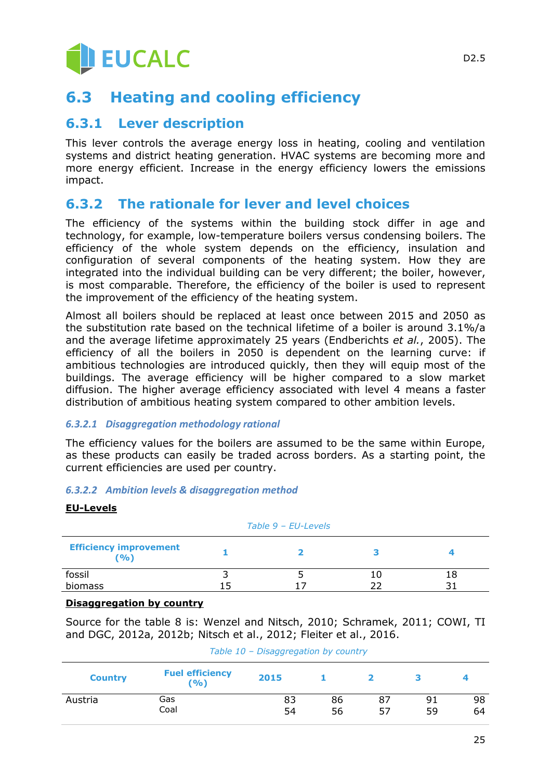# **JEUCALC**

# **6.3 Heating and cooling efficiency**

### **6.3.1 Lever description**

This lever controls the average energy loss in heating, cooling and ventilation systems and district heating generation. HVAC systems are becoming more and more energy efficient. Increase in the energy efficiency lowers the emissions impact.

## **6.3.2 The rationale for lever and level choices**

The efficiency of the systems within the building stock differ in age and technology, for example, low-temperature boilers versus condensing boilers. The efficiency of the whole system depends on the efficiency, insulation and configuration of several components of the heating system. How they are integrated into the individual building can be very different; the boiler, however, is most comparable. Therefore, the efficiency of the boiler is used to represent the improvement of the efficiency of the heating system.

Almost all boilers should be replaced at least once between 2015 and 2050 as the substitution rate based on the technical lifetime of a boiler is around 3.1%/a and the average lifetime approximately 25 years (Endberichts *et al.*, 2005). The efficiency of all the boilers in 2050 is dependent on the learning curve: if ambitious technologies are introduced quickly, then they will equip most of the buildings. The average efficiency will be higher compared to a slow market diffusion. The higher average efficiency associated with level 4 means a faster distribution of ambitious heating system compared to other ambition levels.

#### *6.3.2.1 Disaggregation methodology rational*

The efficiency values for the boilers are assumed to be the same within Europe, as these products can easily be traded across borders. As a starting point, the current efficiencies are used per country.

#### *6.3.2.2 Ambition levels & disaggregation method*

#### **EU-Levels**

| Table 9 - EU-Levels                    |   |  |  |    |  |  |
|----------------------------------------|---|--|--|----|--|--|
| <b>Efficiency improvement</b><br>(9/6) |   |  |  |    |  |  |
| fossil                                 |   |  |  | 18 |  |  |
| biomass                                | י |  |  |    |  |  |

#### **Disaggregation by country**

Source for the table 8 is: Wenzel and Nitsch, 2010; Schramek, 2011; COWI, TI and DGC, 2012a, 2012b; Nitsch et al., 2012; Fleiter et al., 2016.

|  | Table 10 - Disaggregation by country |  |  |
|--|--------------------------------------|--|--|
|--|--------------------------------------|--|--|

| <b>Country</b> | <b>Fuel efficiency</b><br>(9) | 2015 |    |    |    |    |
|----------------|-------------------------------|------|----|----|----|----|
| Austria        | Gas                           | 83   | 86 | 87 | 91 | 98 |
|                | Coal                          | 54   | 56 | 57 | 59 | 64 |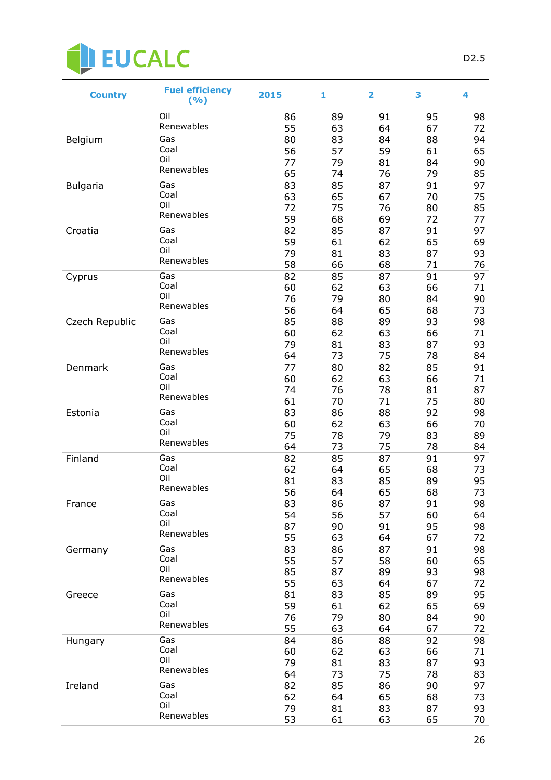

| <b>Country</b>  | <b>Fuel efficiency</b><br>(%) | 2015     | 1        | 2        | 3        | 4        |
|-----------------|-------------------------------|----------|----------|----------|----------|----------|
|                 | Oil<br>Renewables             | 86<br>55 | 89<br>63 | 91<br>64 | 95<br>67 | 98<br>72 |
| Belgium         | Gas<br>Coal                   | 80       | 83       | 84       | 88       | 94       |
|                 | Oil                           | 56<br>77 | 57<br>79 | 59<br>81 | 61<br>84 | 65<br>90 |
|                 | Renewables                    | 65       | 74       | 76       | 79       | 85       |
| <b>Bulgaria</b> | Gas                           | 83       | 85       | 87       | 91       | 97       |
|                 | Coal<br>Oil                   | 63       | 65       | 67       | 70       | 75       |
|                 | Renewables                    | 72<br>59 | 75<br>68 | 76<br>69 | 80<br>72 | 85<br>77 |
| Croatia         | Gas                           | 82       | 85       | 87       | 91       | 97       |
|                 | Coal                          | 59       | 61       | 62       | 65       | 69       |
|                 | Oil                           | 79       | 81       | 83       | 87       | 93       |
|                 | Renewables                    | 58       | 66       | 68       | 71       | 76       |
| Cyprus          | Gas<br>Coal                   | 82       | 85       | 87       | 91       | 97       |
|                 | Oil                           | 60<br>76 | 62<br>79 | 63<br>80 | 66<br>84 | 71<br>90 |
|                 | Renewables                    | 56       | 64       | 65       | 68       | 73       |
| Czech Republic  | Gas                           | 85       | 88       | 89       | 93       | 98       |
|                 | Coal                          | 60       | 62       | 63       | 66       | 71       |
|                 | Oil<br>Renewables             | 79       | 81       | 83       | 87       | 93       |
| Denmark         | Gas                           | 64<br>77 | 73<br>80 | 75<br>82 | 78       | 84       |
|                 | Coal                          | 60       | 62       | 63       | 85<br>66 | 91<br>71 |
|                 | Oil                           | 74       | 76       | 78       | 81       | 87       |
|                 | Renewables                    | 61       | 70       | 71       | 75       | 80       |
| Estonia         | Gas                           | 83       | 86       | 88       | 92       | 98       |
|                 | Coal<br>Oil                   | 60       | 62       | 63       | 66       | 70       |
|                 | Renewables                    | 75<br>64 | 78<br>73 | 79<br>75 | 83<br>78 | 89<br>84 |
| Finland         | Gas                           | 82       | 85       | 87       | 91       | 97       |
|                 | Coal                          | 62       | 64       | 65       | 68       | 73       |
|                 | Oil<br>Renewables             | 81       | 83       | 85       | 89       | 95       |
|                 |                               | 56       | 64       | 65       | 68       | 73       |
| France          | Gas<br>Coal                   | 83<br>54 | 86<br>56 | 87<br>57 | 91<br>60 | 98<br>64 |
|                 | Oil                           | 87       | 90       | 91       | 95       | 98       |
|                 | Renewables                    | 55       | 63       | 64       | 67       | 72       |
| Germany         | Gas                           | 83       | 86       | 87       | 91       | 98       |
|                 | Coal<br>Oil                   | 55       | 57       | 58       | 60       | 65       |
|                 | Renewables                    | 85<br>55 | 87<br>63 | 89<br>64 | 93<br>67 | 98<br>72 |
| Greece          | Gas                           | 81       | 83       | 85       | 89       | 95       |
|                 | Coal                          | 59       | 61       | 62       | 65       | 69       |
|                 | Oil                           | 76       | 79       | 80       | 84       | 90       |
|                 | Renewables                    | 55       | 63       | 64       | 67       | 72       |
| Hungary         | Gas<br>Coal                   | 84       | 86       | 88       | 92       | 98       |
|                 | Oil                           | 60<br>79 | 62<br>81 | 63<br>83 | 66<br>87 | 71<br>93 |
|                 | Renewables                    | 64       | 73       | 75       | 78       | 83       |
| Ireland         | Gas                           | 82       | 85       | 86       | 90       | 97       |
|                 | Coal                          | 62       | 64       | 65       | 68       | 73       |
|                 | Oil<br>Renewables             | 79       | 81       | 83       | 87       | 93       |
|                 |                               | 53       | 61       | 63       | 65       | 70       |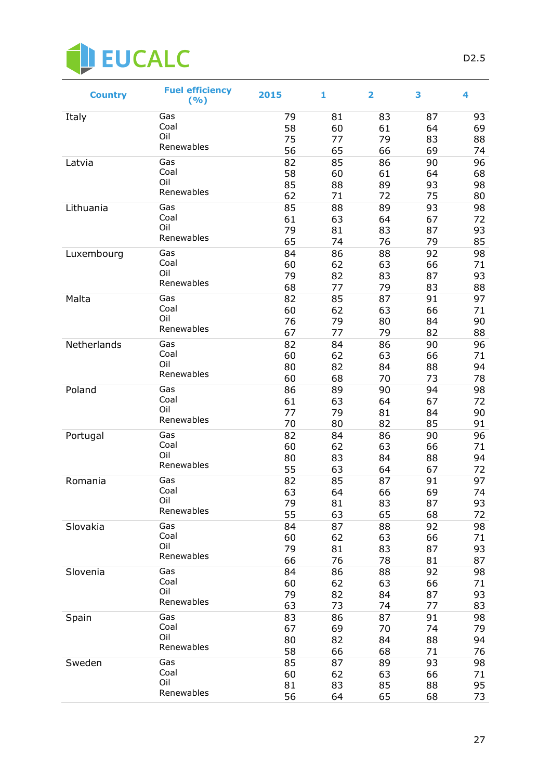

| <b>Country</b> | <b>Fuel efficiency</b><br>(%) | 2015 | 1  | 2  | 3  | 4  |
|----------------|-------------------------------|------|----|----|----|----|
| Italy          | Gas                           | 79   | 81 | 83 | 87 | 93 |
|                | Coal                          | 58   | 60 | 61 | 64 | 69 |
|                | Oil                           | 75   | 77 | 79 | 83 | 88 |
|                | Renewables                    | 56   | 65 | 66 | 69 | 74 |
| Latvia         | Gas                           | 82   | 85 | 86 | 90 | 96 |
|                | Coal                          | 58   | 60 | 61 | 64 | 68 |
|                | Oil                           | 85   | 88 | 89 | 93 | 98 |
|                | Renewables                    | 62   | 71 | 72 | 75 | 80 |
| Lithuania      | Gas                           | 85   | 88 | 89 | 93 | 98 |
|                | Coal                          | 61   | 63 | 64 | 67 | 72 |
|                | Oil                           | 79   | 81 | 83 | 87 | 93 |
|                | Renewables                    | 65   | 74 | 76 | 79 | 85 |
| Luxembourg     | Gas                           | 84   | 86 | 88 | 92 | 98 |
|                | Coal                          | 60   | 62 | 63 | 66 | 71 |
|                | Oil                           | 79   | 82 | 83 | 87 | 93 |
|                | Renewables                    | 68   | 77 | 79 | 83 | 88 |
| Malta          | Gas                           | 82   | 85 | 87 | 91 | 97 |
|                | Coal                          | 60   | 62 | 63 | 66 | 71 |
|                | Oil                           | 76   | 79 | 80 | 84 | 90 |
|                | Renewables                    | 67   | 77 | 79 | 82 | 88 |
| Netherlands    | Gas                           | 82   | 84 | 86 | 90 | 96 |
|                | Coal                          | 60   | 62 | 63 | 66 | 71 |
|                | Oil                           | 80   | 82 | 84 | 88 | 94 |
|                | Renewables                    | 60   | 68 | 70 | 73 | 78 |
| Poland         | Gas                           | 86   | 89 | 90 | 94 | 98 |
|                | Coal                          | 61   | 63 | 64 | 67 | 72 |
|                | Oil                           | 77   | 79 | 81 | 84 | 90 |
|                | Renewables                    | 70   | 80 | 82 | 85 | 91 |
| Portugal       | Gas                           | 82   | 84 | 86 | 90 | 96 |
|                | Coal                          | 60   | 62 | 63 | 66 | 71 |
|                | Oil                           | 80   | 83 | 84 | 88 | 94 |
|                | Renewables                    | 55   | 63 | 64 | 67 | 72 |
| Romania        | Gas                           | 82   | 85 | 87 | 91 | 97 |
|                | Coal                          | 63   | 64 | 66 | 69 | 74 |
|                | Oil                           | 79   | 81 | 83 | 87 | 93 |
|                | Renewables                    | 55   | 63 | 65 | 68 | 72 |
| Slovakia       | Gas                           | 84   | 87 | 88 | 92 | 98 |
|                | Coal                          | 60   | 62 | 63 | 66 | 71 |
|                | Oil                           | 79   | 81 | 83 | 87 | 93 |
|                | Renewables                    | 66   | 76 | 78 | 81 | 87 |
| Slovenia       | Gas                           | 84   | 86 | 88 | 92 | 98 |
|                | Coal                          | 60   | 62 | 63 | 66 | 71 |
|                | Oil                           | 79   | 82 | 84 | 87 | 93 |
|                | Renewables                    | 63   | 73 | 74 | 77 | 83 |
| Spain          | Gas                           | 83   | 86 | 87 | 91 | 98 |
|                | Coal                          | 67   | 69 | 70 | 74 | 79 |
|                | Oil                           | 80   | 82 | 84 | 88 | 94 |
|                | Renewables                    | 58   | 66 | 68 | 71 | 76 |
| Sweden         | Gas                           | 85   | 87 | 89 | 93 | 98 |
|                | Coal                          | 60   | 62 | 63 | 66 | 71 |
|                | Oil                           | 81   | 83 | 85 | 88 | 95 |
|                | Renewables                    | 56   | 64 | 65 | 68 | 73 |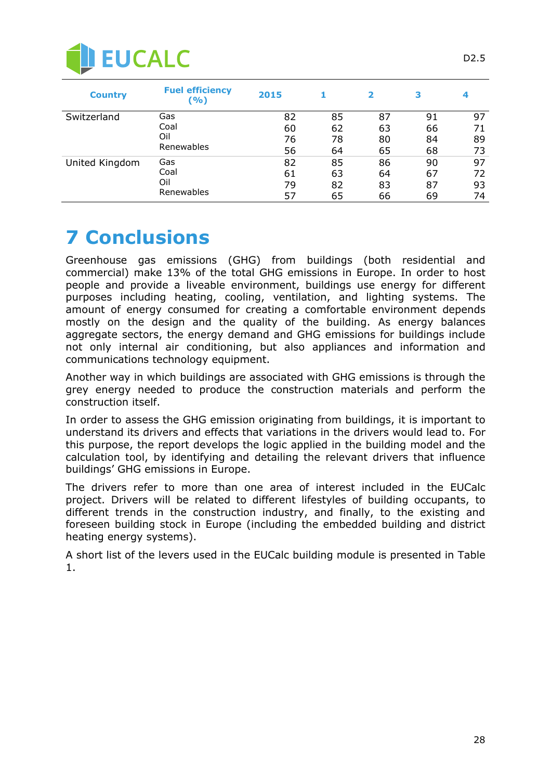

| <b>Country</b>                                  | <b>Fuel efficiency</b><br>( %) | 2015 |    | $\overline{\mathbf{2}}$ | з  | 4  |
|-------------------------------------------------|--------------------------------|------|----|-------------------------|----|----|
| Switzerland<br>Gas<br>Coal<br>Oil<br>Renewables |                                | 82   | 85 | 87                      | 91 | 97 |
|                                                 |                                | 60   | 62 | 63                      | 66 | 71 |
|                                                 |                                | 76   | 78 | 80                      | 84 | 89 |
|                                                 |                                | 56   | 64 | 65                      | 68 | 73 |
| Gas<br>United Kingdom<br>Coal<br>Oil            |                                | 82   | 85 | 86                      | 90 | 97 |
|                                                 |                                | 61   | 63 | 64                      | 67 | 72 |
|                                                 |                                | 79   | 82 | 83                      | 87 | 93 |
|                                                 | Renewables                     | 57   | 65 | 66                      | 69 | 74 |

# **7 Conclusions**

Greenhouse gas emissions (GHG) from buildings (both residential and commercial) make 13% of the total GHG emissions in Europe. In order to host people and provide a liveable environment, buildings use energy for different purposes including heating, cooling, ventilation, and lighting systems. The amount of energy consumed for creating a comfortable environment depends mostly on the design and the quality of the building. As energy balances aggregate sectors, the energy demand and GHG emissions for buildings include not only internal air conditioning, but also appliances and information and communications technology equipment.

Another way in which buildings are associated with GHG emissions is through the grey energy needed to produce the construction materials and perform the construction itself.

In order to assess the GHG emission originating from buildings, it is important to understand its drivers and effects that variations in the drivers would lead to. For this purpose, the report develops the logic applied in the building model and the calculation tool, by identifying and detailing the relevant drivers that influence buildings' GHG emissions in Europe.

The drivers refer to more than one area of interest included in the EUCalc project. Drivers will be related to different lifestyles of building occupants, to different trends in the construction industry, and finally, to the existing and foreseen building stock in Europe (including the embedded building and district heating energy systems).

A short list of the levers used in the EUCalc building module is presented in [Table](#page-8-0)  [1.](#page-8-0)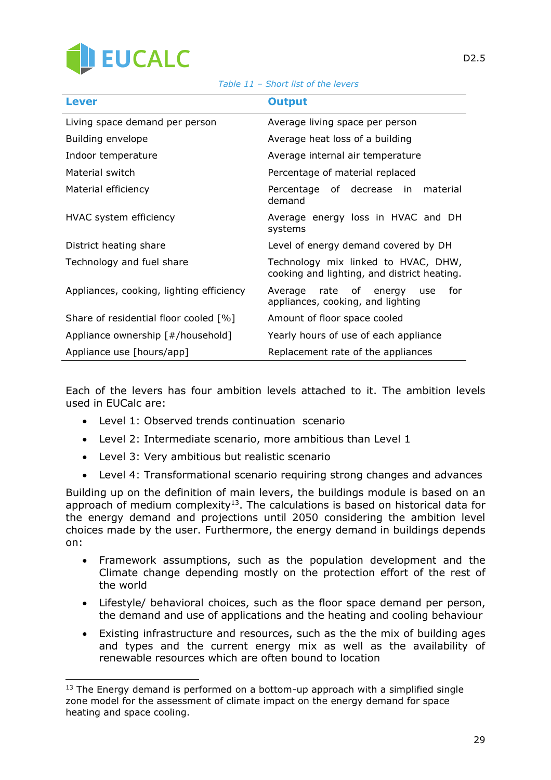

#### *Table 11 – Short list of the levers*

| <b>Lever</b>                             | <b>Output</b>                                                                      |
|------------------------------------------|------------------------------------------------------------------------------------|
| Living space demand per person           | Average living space per person                                                    |
| Building envelope                        | Average heat loss of a building                                                    |
| Indoor temperature                       | Average internal air temperature                                                   |
| Material switch                          | Percentage of material replaced                                                    |
| Material efficiency                      | Percentage of decrease<br>in<br>material<br>demand                                 |
| HVAC system efficiency                   | Average energy loss in HVAC and DH<br>systems                                      |
| District heating share                   | Level of energy demand covered by DH                                               |
| Technology and fuel share                | Technology mix linked to HVAC, DHW,<br>cooking and lighting, and district heating. |
| Appliances, cooking, lighting efficiency | rate of energy<br>Average<br>for<br>use<br>appliances, cooking, and lighting       |
| Share of residential floor cooled [%]    | Amount of floor space cooled                                                       |
| Appliance ownership [#/household]        | Yearly hours of use of each appliance                                              |
| Appliance use [hours/app]                | Replacement rate of the appliances                                                 |

Each of the levers has four ambition levels attached to it. The ambition levels used in EUCalc are:

- Level 1: Observed trends continuation scenario
- Level 2: Intermediate scenario, more ambitious than Level 1
- Level 3: Very ambitious but realistic scenario
- Level 4: Transformational scenario requiring strong changes and advances

Building up on the definition of main levers, the buildings module is based on an approach of medium complexity $^{13}$ . The calculations is based on historical data for the energy demand and projections until 2050 considering the ambition level choices made by the user. Furthermore, the energy demand in buildings depends on:

- Framework assumptions, such as the population development and the Climate change depending mostly on the protection effort of the rest of the world
- Lifestyle/ behavioral choices, such as the floor space demand per person, the demand and use of applications and the heating and cooling behaviour
- Existing infrastructure and resources, such as the the mix of building ages and types and the current energy mix as well as the availability of renewable resources which are often bound to location

 $13$  The Energy demand is performed on a bottom-up approach with a simplified single zone model for the assessment of climate impact on the energy demand for space heating and space cooling.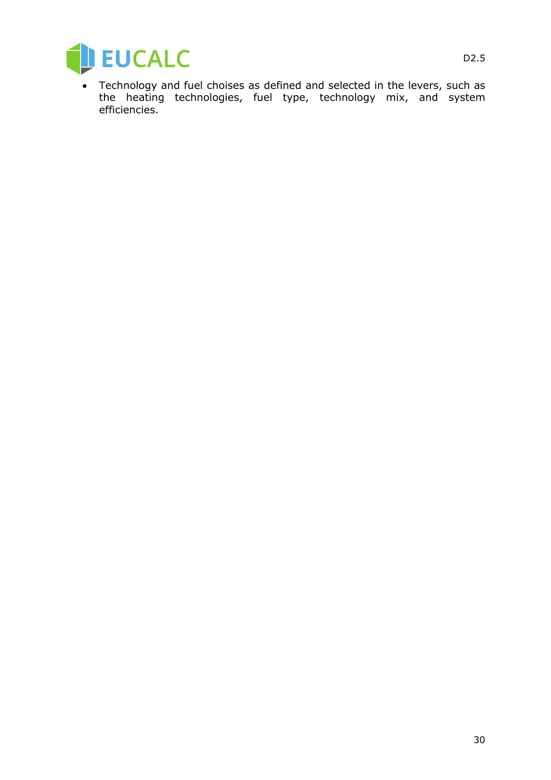

• Technology and fuel choises as defined and selected in the levers, such as the heating technologies, fuel type, technology mix, and system efficiencies.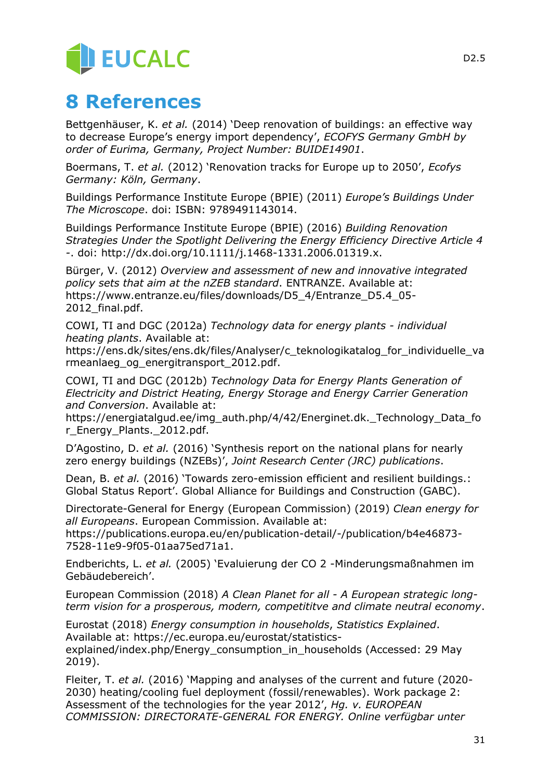# **JEUCALC**

# **8 References**

Bettgenhäuser, K. *et al.* (2014) 'Deep renovation of buildings: an effective way to decrease Europe's energy import dependency', *ECOFYS Germany GmbH by order of Eurima, Germany, Project Number: BUIDE14901*.

Boermans, T. *et al.* (2012) 'Renovation tracks for Europe up to 2050', *Ecofys Germany: Köln, Germany*.

Buildings Performance Institute Europe (BPIE) (2011) *Europe's Buildings Under The Microscope*. doi: ISBN: 9789491143014.

Buildings Performance Institute Europe (BPIE) (2016) *Building Renovation Strategies Under the Spotlight Delivering the Energy Efficiency Directive Article 4 -*. doi: http://dx.doi.org/10.1111/j.1468-1331.2006.01319.x.

Bürger, V. (2012) *Overview and assessment of new and innovative integrated policy sets that aim at the nZEB standard*. ENTRANZE. Available at: https://www.entranze.eu/files/downloads/D5\_4/Entranze\_D5.4\_05- 2012\_final.pdf.

COWI, TI and DGC (2012a) *Technology data for energy plants - individual heating plants*. Available at:

https://ens.dk/sites/ens.dk/files/Analyser/c\_teknologikatalog\_for\_individuelle\_va rmeanlaeg\_og\_energitransport\_2012.pdf.

COWI, TI and DGC (2012b) *Technology Data for Energy Plants Generation of Electricity and District Heating, Energy Storage and Energy Carrier Generation and Conversion*. Available at:

https://energiatalgud.ee/img\_auth.php/4/42/Energinet.dk.\_Technology\_Data\_fo r\_Energy\_Plants.\_2012.pdf.

D'Agostino, D. *et al.* (2016) 'Synthesis report on the national plans for nearly zero energy buildings (NZEBs)', *Joint Research Center (JRC) publications*.

Dean, B. *et al.* (2016) 'Towards zero-emission efficient and resilient buildings.: Global Status Report'. Global Alliance for Buildings and Construction (GABC).

Directorate-General for Energy (European Commission) (2019) *Clean energy for all Europeans*. European Commission. Available at:

https://publications.europa.eu/en/publication-detail/-/publication/b4e46873- 7528-11e9-9f05-01aa75ed71a1.

Endberichts, L. *et al.* (2005) 'Evaluierung der CO 2 -Minderungsmaßnahmen im Gebäudebereich'.

European Commission (2018) *A Clean Planet for all - A European strategic longterm vision for a prosperous, modern, competititve and climate neutral economy*.

Eurostat (2018) *Energy consumption in households*, *Statistics Explained*. Available at: https://ec.europa.eu/eurostat/statisticsexplained/index.php/Energy\_consumption\_in\_households (Accessed: 29 May 2019).

Fleiter, T. *et al.* (2016) 'Mapping and analyses of the current and future (2020- 2030) heating/cooling fuel deployment (fossil/renewables). Work package 2: Assessment of the technologies for the year 2012', *Hg. v. EUROPEAN COMMISSION: DIRECTORATE-GENERAL FOR ENERGY. Online verfügbar unter*